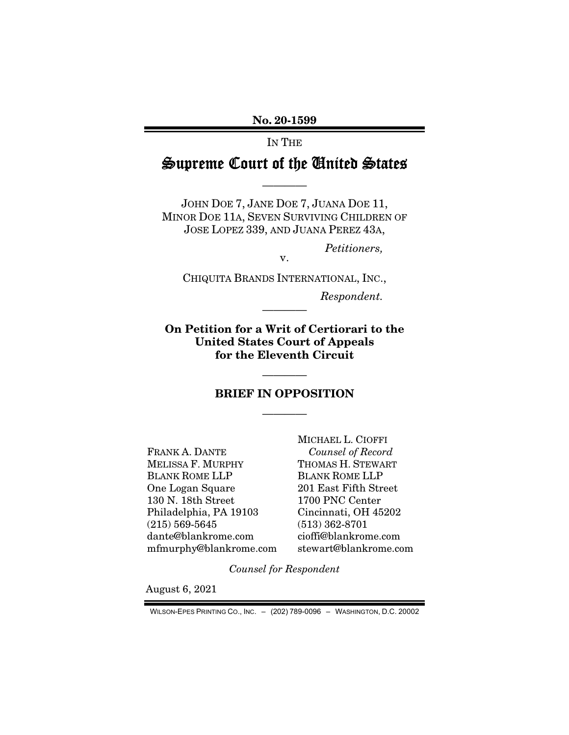No. 20-1599

IN THE

## Supreme Court of the United States

————

JOHN DOE 7, JANE DOE 7, JUANA DOE 11, MINOR DOE 11A, SEVEN SURVIVING CHILDREN OF JOSE LOPEZ 339, AND JUANA PEREZ 43A,

*Petitioners,* 

CHIQUITA BRANDS INTERNATIONAL, INC.,

v.

*Respondent.* 

On Petition for a Writ of Certiorari to the United States Court of Appeals for the Eleventh Circuit

————

## BRIEF IN OPPOSITION

————

————

FRANK A. DANTE MELISSA F. MURPHY BLANK ROME LLP One Logan Square 130 N. 18th Street Philadelphia, PA 19103 (215) 569-5645 dante@blankrome.com mfmurphy@blankrome.com MICHAEL L. CIOFFI *Counsel of Record*  THOMAS H. STEWART BLANK ROME LLP 201 East Fifth Street 1700 PNC Center Cincinnati, OH 45202 (513) 362-8701 cioffi@blankrome.com stewart@blankrome.com

*Counsel for Respondent* 

August 6, 2021

WILSON-EPES PRINTING CO., INC. – (202) 789-0096 – WASHINGTON, D.C. 20002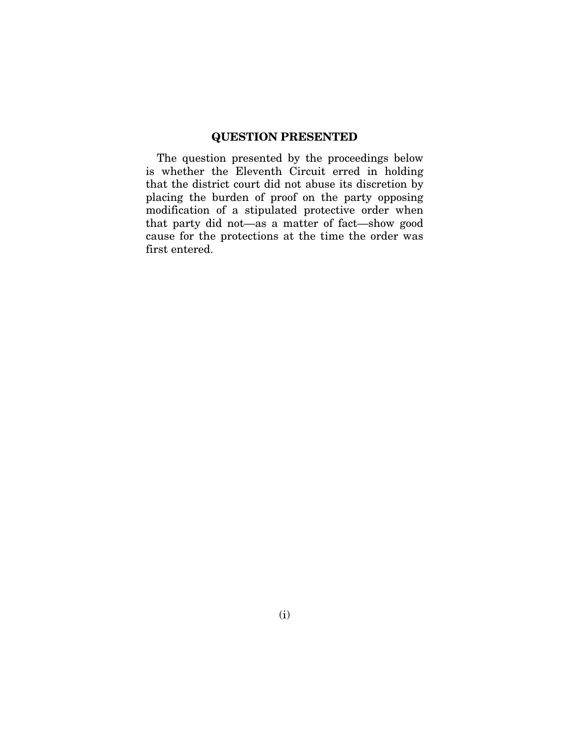## QUESTION PRESENTED

The question presented by the proceedings below is whether the Eleventh Circuit erred in holding that the district court did not abuse its discretion by placing the burden of proof on the party opposing modification of a stipulated protective order when that party did not—as a matter of fact—show good cause for the protections at the time the order was first entered.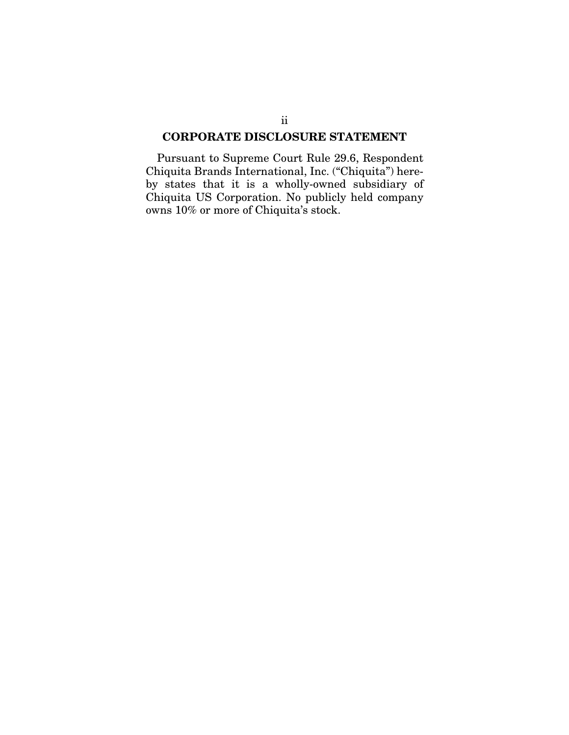## CORPORATE DISCLOSURE STATEMENT

Pursuant to Supreme Court Rule 29.6, Respondent Chiquita Brands International, Inc. ("Chiquita") hereby states that it is a wholly-owned subsidiary of Chiquita US Corporation. No publicly held company owns 10% or more of Chiquita's stock.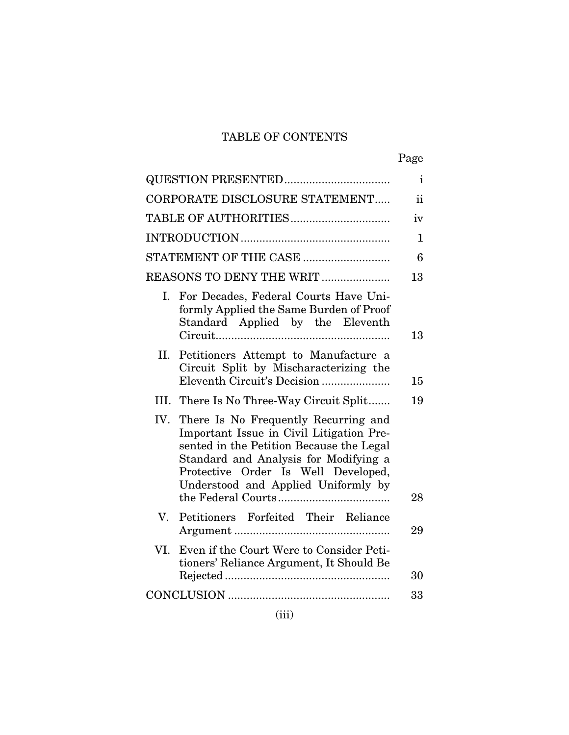## TABLE OF CONTENTS

|--|

| CORPORATE DISCLOSURE STATEMENT<br>$\rm ii$<br>iv<br>1<br>6<br>REASONS TO DENY THE WRIT<br>13<br>For Decades, Federal Courts Have Uni-<br>Ι.<br>formly Applied the Same Burden of Proof<br>Standard Applied by the Eleventh<br>13<br>Petitioners Attempt to Manufacture a<br>II.<br>Circuit Split by Mischaracterizing the<br>Eleventh Circuit's Decision<br>15<br>III. There Is No Three-Way Circuit Split<br>19<br>IV.<br>There Is No Frequently Recurring and<br>Important Issue in Civil Litigation Pre-<br>sented in the Petition Because the Legal<br>Standard and Analysis for Modifying a<br>Protective Order Is Well Developed,<br>Understood and Applied Uniformly by<br>28<br>Petitioners Forfeited Their Reliance<br>$V_{\cdot}$<br>29<br>Even if the Court Were to Consider Peti-<br>VI.<br>tioners' Reliance Argument, It Should Be<br>30 | <b>QUESTION PRESENTED</b> | $\mathbf{i}$ |
|--------------------------------------------------------------------------------------------------------------------------------------------------------------------------------------------------------------------------------------------------------------------------------------------------------------------------------------------------------------------------------------------------------------------------------------------------------------------------------------------------------------------------------------------------------------------------------------------------------------------------------------------------------------------------------------------------------------------------------------------------------------------------------------------------------------------------------------------------------|---------------------------|--------------|
|                                                                                                                                                                                                                                                                                                                                                                                                                                                                                                                                                                                                                                                                                                                                                                                                                                                        |                           |              |
|                                                                                                                                                                                                                                                                                                                                                                                                                                                                                                                                                                                                                                                                                                                                                                                                                                                        |                           |              |
|                                                                                                                                                                                                                                                                                                                                                                                                                                                                                                                                                                                                                                                                                                                                                                                                                                                        |                           |              |
|                                                                                                                                                                                                                                                                                                                                                                                                                                                                                                                                                                                                                                                                                                                                                                                                                                                        |                           |              |
|                                                                                                                                                                                                                                                                                                                                                                                                                                                                                                                                                                                                                                                                                                                                                                                                                                                        |                           |              |
|                                                                                                                                                                                                                                                                                                                                                                                                                                                                                                                                                                                                                                                                                                                                                                                                                                                        |                           |              |
|                                                                                                                                                                                                                                                                                                                                                                                                                                                                                                                                                                                                                                                                                                                                                                                                                                                        |                           |              |
|                                                                                                                                                                                                                                                                                                                                                                                                                                                                                                                                                                                                                                                                                                                                                                                                                                                        |                           |              |
|                                                                                                                                                                                                                                                                                                                                                                                                                                                                                                                                                                                                                                                                                                                                                                                                                                                        |                           |              |
|                                                                                                                                                                                                                                                                                                                                                                                                                                                                                                                                                                                                                                                                                                                                                                                                                                                        |                           |              |
|                                                                                                                                                                                                                                                                                                                                                                                                                                                                                                                                                                                                                                                                                                                                                                                                                                                        |                           |              |
| 33                                                                                                                                                                                                                                                                                                                                                                                                                                                                                                                                                                                                                                                                                                                                                                                                                                                     |                           |              |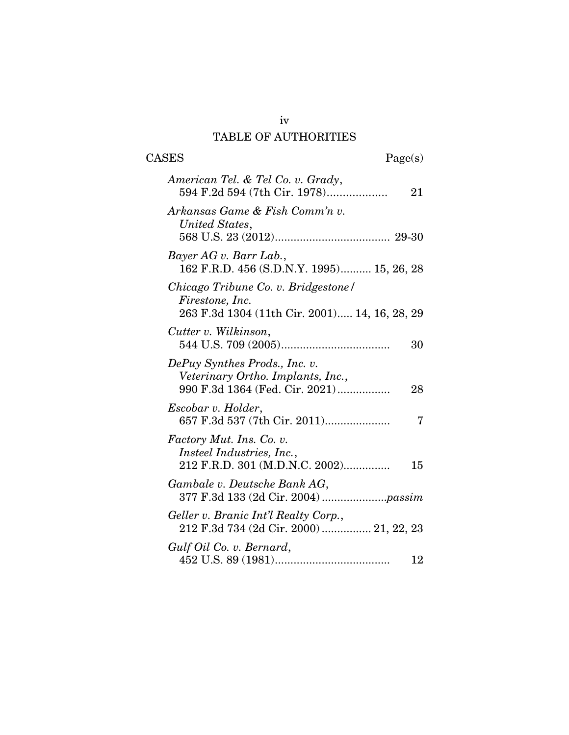## TABLE OF AUTHORITIES

| <b>CASES</b><br>Page(s)                                                                                    |
|------------------------------------------------------------------------------------------------------------|
| American Tel. & Tel Co. v. Grady,<br>594 F.2d 594 (7th Cir. 1978)<br>21                                    |
| Arkansas Game & Fish Comm'n v.<br>United States,                                                           |
| Bayer AG v. Barr Lab.,<br>162 F.R.D. 456 (S.D.N.Y. 1995) 15, 26, 28                                        |
| Chicago Tribune Co. v. Bridgestone/<br>Firestone, Inc.<br>263 F.3d 1304 (11th Cir. 2001) 14, 16, 28, 29    |
| Cutter v. Wilkinson,<br>30                                                                                 |
| DePuy Synthes Prods., Inc. v.<br>Veterinary Ortho. Implants, Inc.,<br>990 F.3d 1364 (Fed. Cir. 2021)<br>28 |
| Escobar v. Holder,<br>7                                                                                    |
| Factory Mut. Ins. Co. v.<br><i>Insteel Industries, Inc.,</i><br>212 F.R.D. 301 (M.D.N.C. 2002)<br>15       |
| Gambale v. Deutsche Bank AG,                                                                               |
| Geller v. Branic Int'l Realty Corp.,<br>212 F.3d 734 (2d Cir. 2000)  21, 22, 23                            |
| Gulf Oil Co. v. Bernard,<br>12                                                                             |

iv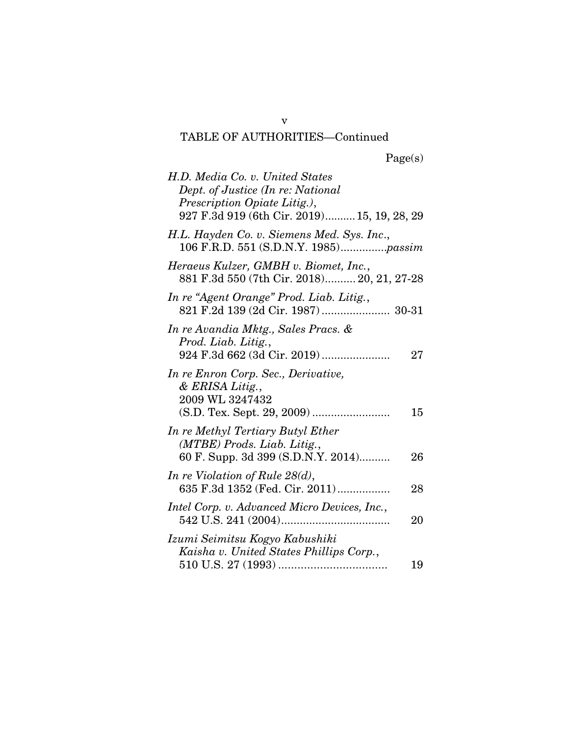# TABLE OF AUTHORITIES—Continued

|  | Page(s) |
|--|---------|
|  |         |

| H.D. Media Co. v. United States<br>Dept. of Justice (In re: National<br>Prescription Opiate Litig.),<br>927 F.3d 919 (6th Cir. 2019) 15, 19, 28, 29 |    |
|-----------------------------------------------------------------------------------------------------------------------------------------------------|----|
| H.L. Hayden Co. v. Siemens Med. Sys. Inc.,<br>106 F.R.D. 551 (S.D.N.Y. 1985) <i>passim</i>                                                          |    |
| Heraeus Kulzer, GMBH v. Biomet, Inc.,<br>881 F.3d 550 (7th Cir. 2018) 20, 21, 27-28                                                                 |    |
| In re "Agent Orange" Prod. Liab. Litig.,<br>821 F.2d 139 (2d Cir. 1987) 30-31                                                                       |    |
| In re Avandia Mktg., Sales Pracs. &<br>Prod. Liab. Litig.,<br>924 F.3d 662 (3d Cir. 2019)                                                           | 27 |
| In re Enron Corp. Sec., Derivative,<br>& ERISA Litig.,<br>2009 WL 3247432                                                                           | 15 |
| In re Methyl Tertiary Butyl Ether<br>(MTBE) Prods. Liab. Litig.,<br>60 F. Supp. 3d 399 (S.D.N.Y. 2014)                                              | 26 |
| In re Violation of Rule $28(d)$ ,<br>635 F.3d 1352 (Fed. Cir. 2011)                                                                                 | 28 |
| Intel Corp. v. Advanced Micro Devices, Inc.,                                                                                                        | 20 |
| Izumi Seimitsu Kogyo Kabushiki<br>Kaisha v. United States Phillips Corp.,                                                                           | 19 |

v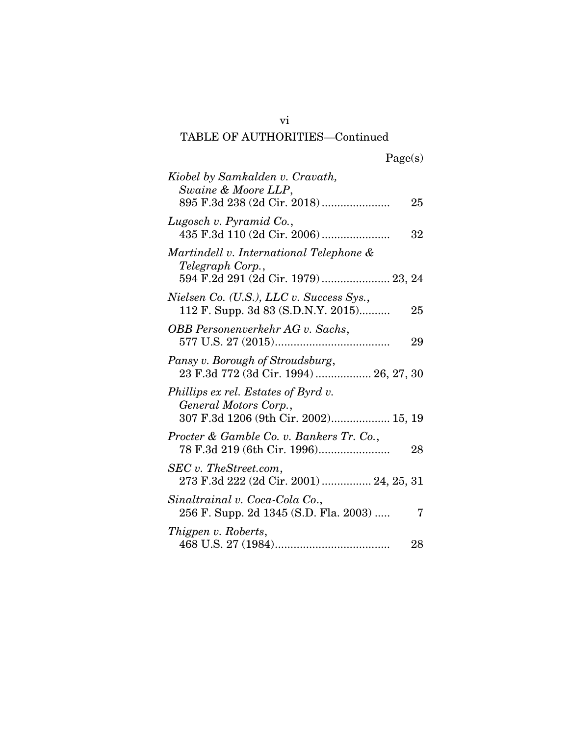## vi TABLE OF AUTHORITIES—Continued

|  | Page(s) |
|--|---------|
|  |         |

| Kiobel by Samkalden v. Cravath,<br>Swaine & Moore LLP,                                               | 25 |
|------------------------------------------------------------------------------------------------------|----|
| Lugosch v. Pyramid Co.,                                                                              | 32 |
| Martindell v. International Telephone &<br>Telegraph Corp.,<br>594 F.2d 291 (2d Cir. 1979) 23, 24    |    |
| Nielsen Co. (U.S.), LLC v. Success Sys.,<br>112 F. Supp. 3d 83 (S.D.N.Y. 2015)                       | 25 |
| OBB Personenverkehr AG v. Sachs,                                                                     | 29 |
| Pansy v. Borough of Stroudsburg,<br>23 F.3d 772 (3d Cir. 1994) 26, 27, 30                            |    |
| Phillips ex rel. Estates of Byrd v.<br>General Motors Corp.,<br>307 F.3d 1206 (9th Cir. 2002) 15, 19 |    |
| Procter & Gamble Co. v. Bankers Tr. Co.,                                                             | 28 |
| SEC v. TheStreet.com,<br>273 F.3d 222 (2d Cir. 2001)  24, 25, 31                                     |    |
| Sinaltrainal v. Coca-Cola Co.,<br>256 F. Supp. 2d 1345 (S.D. Fla. 2003)                              | 7  |
| Thigpen v. Roberts,                                                                                  | 28 |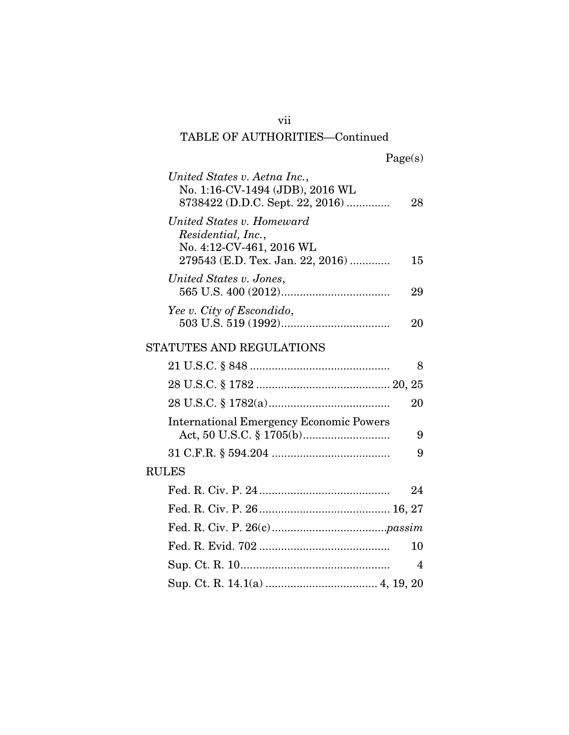## vii TABLE OF AUTHORITIES—Continued

| United States v. Aetna Inc.,<br>No. 1:16-CV-1494 (JDB), 2016 WL<br>8738422 (D.D.C. Sept. 22, 2016)              | 28 |
|-----------------------------------------------------------------------------------------------------------------|----|
| United States v. Homeward<br>Residential, Inc.,<br>No. 4:12-CV-461, 2016 WL<br>279543 (E.D. Tex. Jan. 22, 2016) | 15 |
| United States v. Jones,                                                                                         | 29 |
| Yee v. City of Escondido,                                                                                       | 20 |
| STATUTES AND REGULATIONS                                                                                        |    |
|                                                                                                                 | 8  |
|                                                                                                                 |    |
|                                                                                                                 | 20 |
| <b>International Emergency Economic Powers</b>                                                                  | 9  |
|                                                                                                                 | 9  |
| <b>RULES</b>                                                                                                    |    |
|                                                                                                                 | 24 |
|                                                                                                                 |    |
|                                                                                                                 |    |
|                                                                                                                 | 10 |
|                                                                                                                 | 4  |
|                                                                                                                 |    |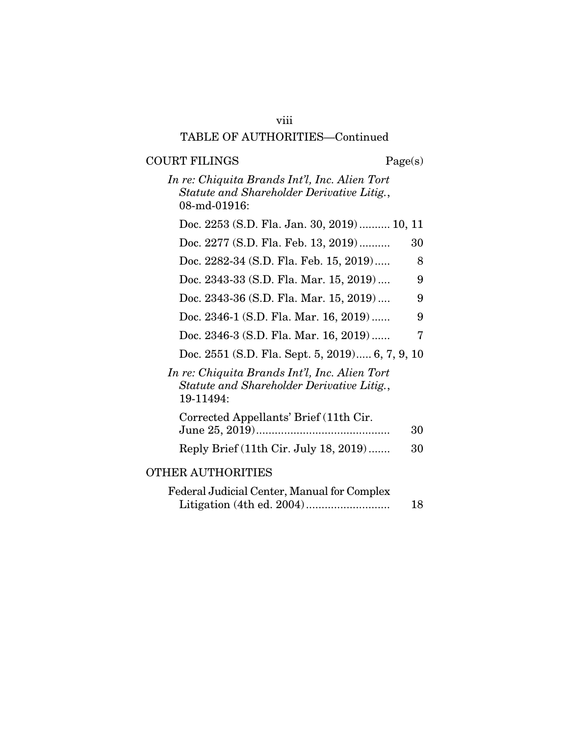# viii

## TABLE OF AUTHORITIES—Continued

## COURT FILINGS Page(s)

*In re: Chiquita Brands Int'l, Inc. Alien Tort Statute and Shareholder Derivative Litig.*, 08-md-01916:

| Doc. 2253 (S.D. Fla. Jan. 30, 2019) 10, 11                                                               |    |
|----------------------------------------------------------------------------------------------------------|----|
| Doc. 2277 (S.D. Fla. Feb. 13, 2019)                                                                      | 30 |
| Doc. 2282-34 (S.D. Fla. Feb. 15, 2019)                                                                   | 8  |
| Doc. 2343-33 (S.D. Fla. Mar. 15, 2019)                                                                   | 9  |
| Doc. 2343-36 (S.D. Fla. Mar. 15, 2019)                                                                   | 9  |
| Doc. 2346-1 (S.D. Fla. Mar. 16, 2019)                                                                    | 9  |
| Doc. 2346-3 (S.D. Fla. Mar. 16, 2019)                                                                    | 7  |
| Doc. 2551 (S.D. Fla. Sept. 5, 2019) 6, 7, 9, 10                                                          |    |
| In re: Chiquita Brands Int'l, Inc. Alien Tort<br>Statute and Shareholder Derivative Litig.,<br>19-11494: |    |
| Corrected Appellants' Brief (11th Cir.                                                                   | 30 |
| Reply Brief (11th Cir. July 18, 2019)                                                                    | 30 |
| <b>OTHER AUTHORITIES</b>                                                                                 |    |
| Federal Judicial Center, Manual for Complex                                                              | 18 |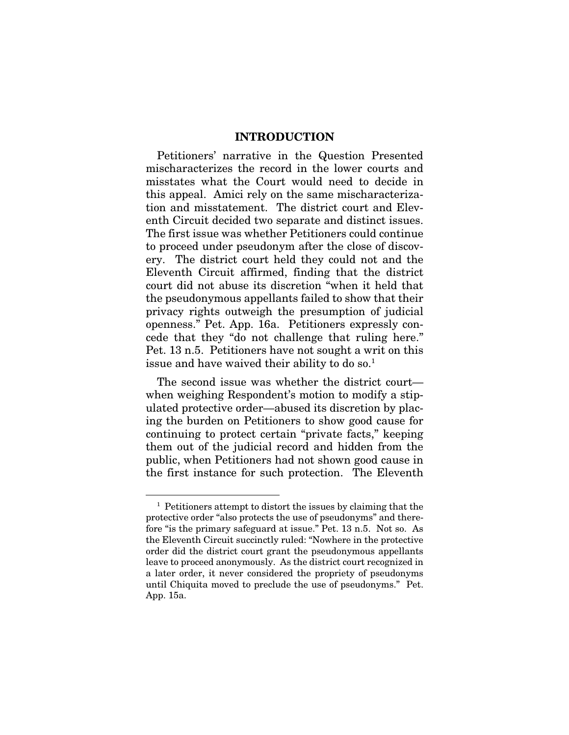### INTRODUCTION

Petitioners' narrative in the Question Presented mischaracterizes the record in the lower courts and misstates what the Court would need to decide in this appeal. Amici rely on the same mischaracterization and misstatement. The district court and Eleventh Circuit decided two separate and distinct issues. The first issue was whether Petitioners could continue to proceed under pseudonym after the close of discovery. The district court held they could not and the Eleventh Circuit affirmed, finding that the district court did not abuse its discretion "when it held that the pseudonymous appellants failed to show that their privacy rights outweigh the presumption of judicial openness." Pet. App. 16a. Petitioners expressly concede that they "do not challenge that ruling here." Pet. 13 n.5. Petitioners have not sought a writ on this issue and have waived their ability to do so.<sup>1</sup>

The second issue was whether the district court when weighing Respondent's motion to modify a stipulated protective order—abused its discretion by placing the burden on Petitioners to show good cause for continuing to protect certain "private facts," keeping them out of the judicial record and hidden from the public, when Petitioners had not shown good cause in the first instance for such protection. The Eleventh

<sup>1</sup> Petitioners attempt to distort the issues by claiming that the protective order "also protects the use of pseudonyms" and therefore "is the primary safeguard at issue." Pet. 13 n.5. Not so. As the Eleventh Circuit succinctly ruled: "Nowhere in the protective order did the district court grant the pseudonymous appellants leave to proceed anonymously. As the district court recognized in a later order, it never considered the propriety of pseudonyms until Chiquita moved to preclude the use of pseudonyms." Pet. App. 15a.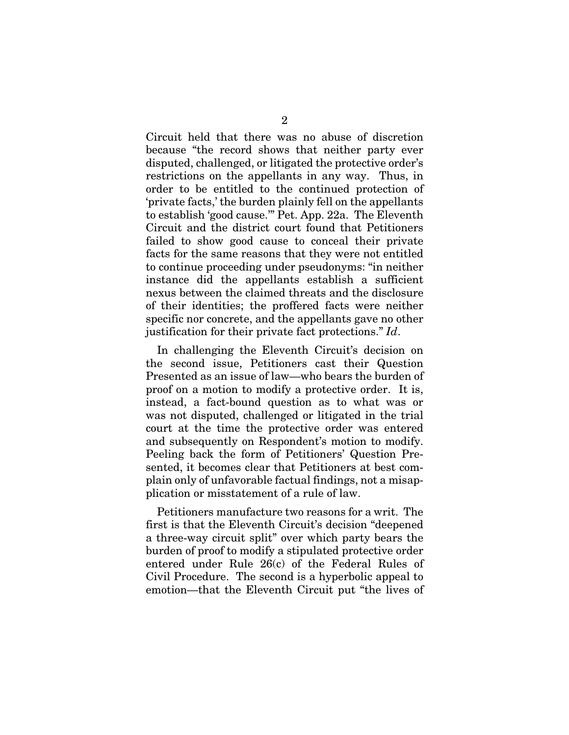Circuit held that there was no abuse of discretion because "the record shows that neither party ever disputed, challenged, or litigated the protective order's restrictions on the appellants in any way. Thus, in order to be entitled to the continued protection of 'private facts,' the burden plainly fell on the appellants to establish 'good cause.'" Pet. App. 22a. The Eleventh Circuit and the district court found that Petitioners failed to show good cause to conceal their private facts for the same reasons that they were not entitled to continue proceeding under pseudonyms: "in neither instance did the appellants establish a sufficient nexus between the claimed threats and the disclosure of their identities; the proffered facts were neither specific nor concrete, and the appellants gave no other justification for their private fact protections." *Id*.

In challenging the Eleventh Circuit's decision on the second issue, Petitioners cast their Question Presented as an issue of law—who bears the burden of proof on a motion to modify a protective order. It is, instead, a fact-bound question as to what was or was not disputed, challenged or litigated in the trial court at the time the protective order was entered and subsequently on Respondent's motion to modify. Peeling back the form of Petitioners' Question Presented, it becomes clear that Petitioners at best complain only of unfavorable factual findings, not a misapplication or misstatement of a rule of law.

Petitioners manufacture two reasons for a writ. The first is that the Eleventh Circuit's decision "deepened a three-way circuit split" over which party bears the burden of proof to modify a stipulated protective order entered under Rule 26(c) of the Federal Rules of Civil Procedure. The second is a hyperbolic appeal to emotion—that the Eleventh Circuit put "the lives of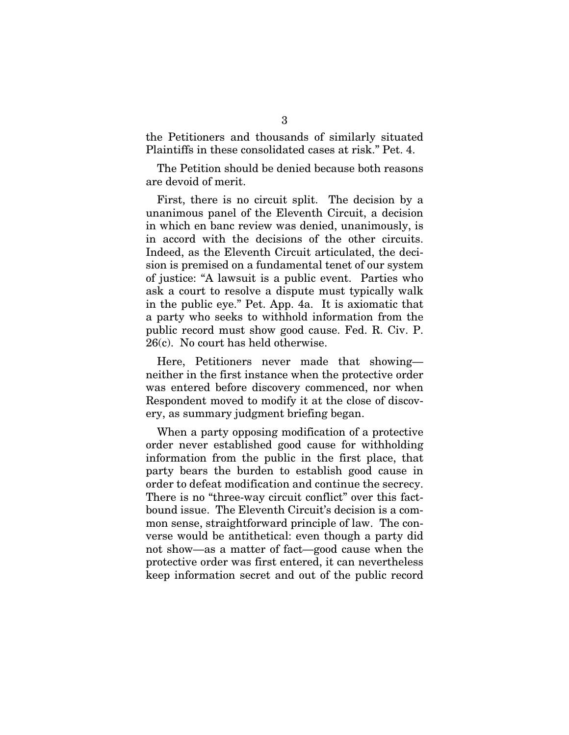the Petitioners and thousands of similarly situated Plaintiffs in these consolidated cases at risk." Pet. 4.

The Petition should be denied because both reasons are devoid of merit.

First, there is no circuit split. The decision by a unanimous panel of the Eleventh Circuit, a decision in which en banc review was denied, unanimously, is in accord with the decisions of the other circuits. Indeed, as the Eleventh Circuit articulated, the decision is premised on a fundamental tenet of our system of justice: "A lawsuit is a public event. Parties who ask a court to resolve a dispute must typically walk in the public eye." Pet. App. 4a. It is axiomatic that a party who seeks to withhold information from the public record must show good cause. Fed. R. Civ. P. 26(c). No court has held otherwise.

Here, Petitioners never made that showing neither in the first instance when the protective order was entered before discovery commenced, nor when Respondent moved to modify it at the close of discovery, as summary judgment briefing began.

When a party opposing modification of a protective order never established good cause for withholding information from the public in the first place, that party bears the burden to establish good cause in order to defeat modification and continue the secrecy. There is no "three-way circuit conflict" over this factbound issue. The Eleventh Circuit's decision is a common sense, straightforward principle of law. The converse would be antithetical: even though a party did not show—as a matter of fact—good cause when the protective order was first entered, it can nevertheless keep information secret and out of the public record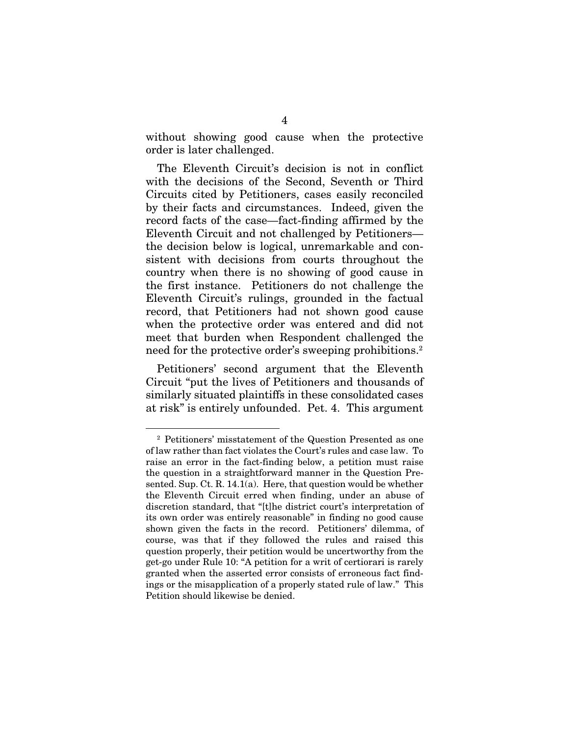without showing good cause when the protective order is later challenged.

The Eleventh Circuit's decision is not in conflict with the decisions of the Second, Seventh or Third Circuits cited by Petitioners, cases easily reconciled by their facts and circumstances. Indeed, given the record facts of the case—fact-finding affirmed by the Eleventh Circuit and not challenged by Petitioners the decision below is logical, unremarkable and consistent with decisions from courts throughout the country when there is no showing of good cause in the first instance. Petitioners do not challenge the Eleventh Circuit's rulings, grounded in the factual record, that Petitioners had not shown good cause when the protective order was entered and did not meet that burden when Respondent challenged the need for the protective order's sweeping prohibitions.<sup>2</sup>

Petitioners' second argument that the Eleventh Circuit "put the lives of Petitioners and thousands of similarly situated plaintiffs in these consolidated cases at risk" is entirely unfounded. Pet. 4. This argument

<sup>2</sup> Petitioners' misstatement of the Question Presented as one of law rather than fact violates the Court's rules and case law. To raise an error in the fact-finding below, a petition must raise the question in a straightforward manner in the Question Presented. Sup. Ct. R. 14.1(a). Here, that question would be whether the Eleventh Circuit erred when finding, under an abuse of discretion standard, that "[t]he district court's interpretation of its own order was entirely reasonable" in finding no good cause shown given the facts in the record. Petitioners' dilemma, of course, was that if they followed the rules and raised this question properly, their petition would be uncertworthy from the get-go under Rule 10: "A petition for a writ of certiorari is rarely granted when the asserted error consists of erroneous fact findings or the misapplication of a properly stated rule of law." This Petition should likewise be denied.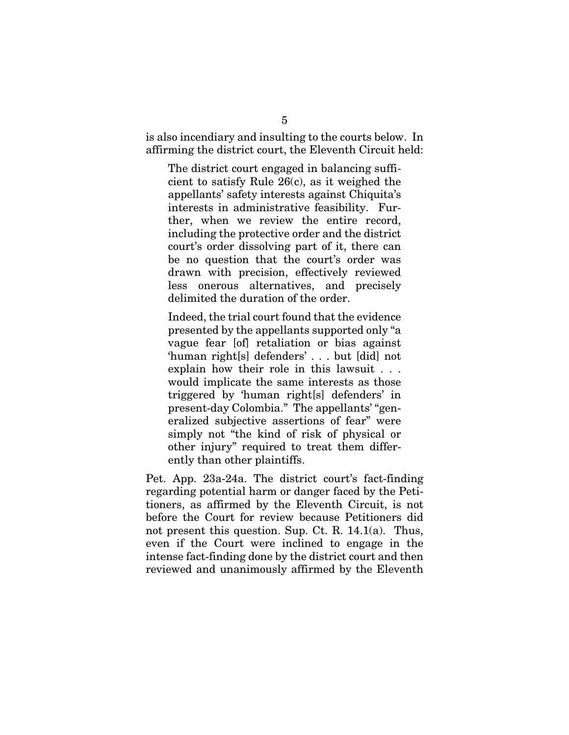is also incendiary and insulting to the courts below. In affirming the district court, the Eleventh Circuit held:

The district court engaged in balancing sufficient to satisfy Rule 26(c), as it weighed the appellants' safety interests against Chiquita's interests in administrative feasibility. Further, when we review the entire record, including the protective order and the district court's order dissolving part of it, there can be no question that the court's order was drawn with precision, effectively reviewed less onerous alternatives, and precisely delimited the duration of the order.

Indeed, the trial court found that the evidence presented by the appellants supported only "a vague fear [of] retaliation or bias against 'human right[s] defenders' . . . but [did] not explain how their role in this lawsuit . . . would implicate the same interests as those triggered by 'human right[s] defenders' in present-day Colombia." The appellants' "generalized subjective assertions of fear" were simply not "the kind of risk of physical or other injury" required to treat them differently than other plaintiffs.

Pet. App. 23a-24a. The district court's fact-finding regarding potential harm or danger faced by the Petitioners, as affirmed by the Eleventh Circuit, is not before the Court for review because Petitioners did not present this question. Sup. Ct. R. 14.1(a). Thus, even if the Court were inclined to engage in the intense fact-finding done by the district court and then reviewed and unanimously affirmed by the Eleventh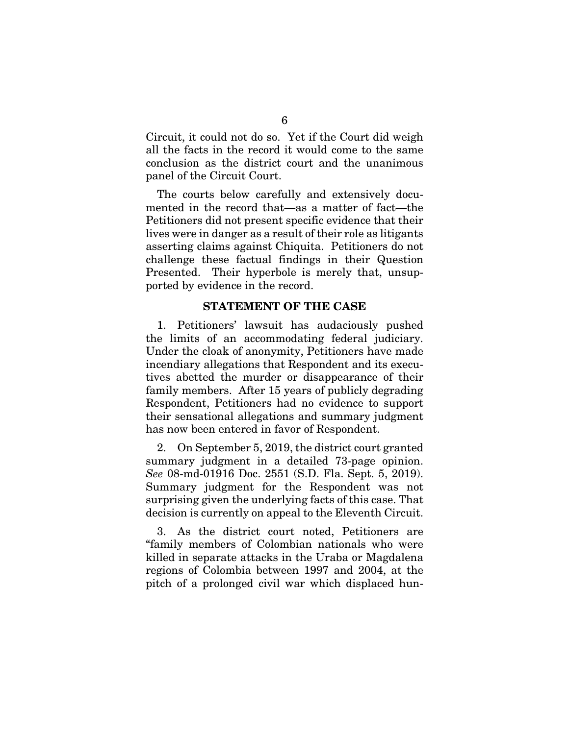Circuit, it could not do so. Yet if the Court did weigh all the facts in the record it would come to the same conclusion as the district court and the unanimous panel of the Circuit Court.

The courts below carefully and extensively documented in the record that—as a matter of fact—the Petitioners did not present specific evidence that their lives were in danger as a result of their role as litigants asserting claims against Chiquita. Petitioners do not challenge these factual findings in their Question Presented. Their hyperbole is merely that, unsupported by evidence in the record.

### STATEMENT OF THE CASE

1. Petitioners' lawsuit has audaciously pushed the limits of an accommodating federal judiciary. Under the cloak of anonymity, Petitioners have made incendiary allegations that Respondent and its executives abetted the murder or disappearance of their family members. After 15 years of publicly degrading Respondent, Petitioners had no evidence to support their sensational allegations and summary judgment has now been entered in favor of Respondent.

2. On September 5, 2019, the district court granted summary judgment in a detailed 73-page opinion. *See* 08-md-01916 Doc. 2551 (S.D. Fla. Sept. 5, 2019). Summary judgment for the Respondent was not surprising given the underlying facts of this case. That decision is currently on appeal to the Eleventh Circuit.

3. As the district court noted, Petitioners are "family members of Colombian nationals who were killed in separate attacks in the Uraba or Magdalena regions of Colombia between 1997 and 2004, at the pitch of a prolonged civil war which displaced hun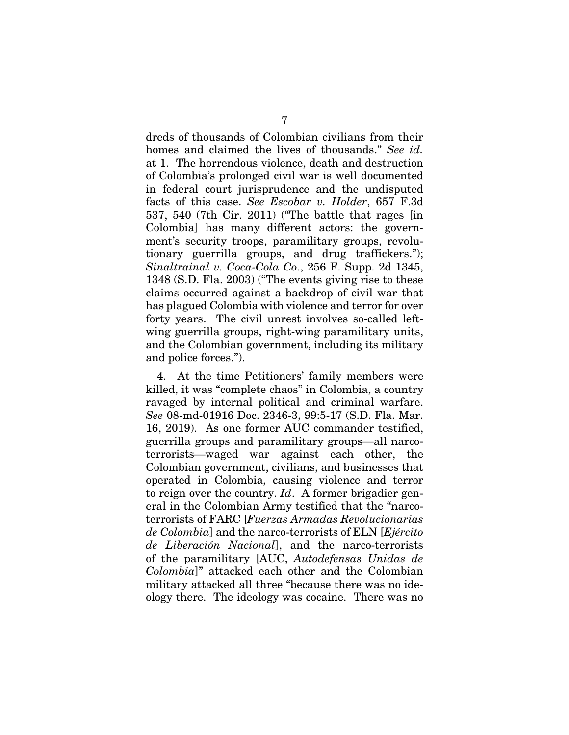dreds of thousands of Colombian civilians from their homes and claimed the lives of thousands." *See id.* at 1. The horrendous violence, death and destruction of Colombia's prolonged civil war is well documented in federal court jurisprudence and the undisputed facts of this case. *See Escobar v. Holder*, 657 F.3d 537, 540 (7th Cir. 2011) ("The battle that rages [in Colombia] has many different actors: the government's security troops, paramilitary groups, revolutionary guerrilla groups, and drug traffickers."); *Sinaltrainal v. Coca-Cola Co*., 256 F. Supp. 2d 1345, 1348 (S.D. Fla. 2003) ("The events giving rise to these claims occurred against a backdrop of civil war that has plagued Colombia with violence and terror for over forty years. The civil unrest involves so-called leftwing guerrilla groups, right-wing paramilitary units, and the Colombian government, including its military and police forces.").

4. At the time Petitioners' family members were killed, it was "complete chaos" in Colombia, a country ravaged by internal political and criminal warfare. *See* 08-md-01916 Doc. 2346-3, 99:5-17 (S.D. Fla. Mar. 16, 2019). As one former AUC commander testified, guerrilla groups and paramilitary groups—all narcoterrorists—waged war against each other, the Colombian government, civilians, and businesses that operated in Colombia, causing violence and terror to reign over the country. *Id*. A former brigadier general in the Colombian Army testified that the "narcoterrorists of FARC [*Fuerzas Armadas Revolucionarias de Colombia*] and the narco-terrorists of ELN [*Ejército de Liberación Nacional*], and the narco-terrorists of the paramilitary [AUC, *Autodefensas Unidas de Colombia*]" attacked each other and the Colombian military attacked all three "because there was no ideology there. The ideology was cocaine. There was no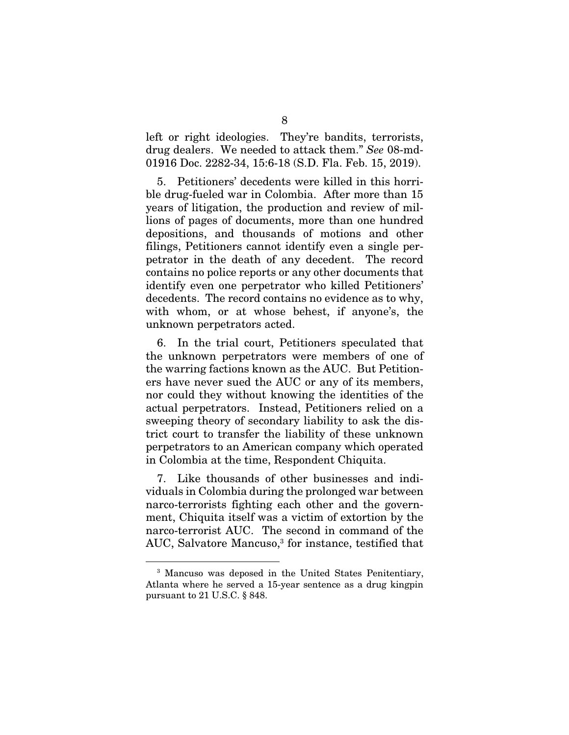left or right ideologies. They're bandits, terrorists, drug dealers. We needed to attack them." *See* 08-md-01916 Doc. 2282-34, 15:6-18 (S.D. Fla. Feb. 15, 2019).

5. Petitioners' decedents were killed in this horrible drug-fueled war in Colombia. After more than 15 years of litigation, the production and review of millions of pages of documents, more than one hundred depositions, and thousands of motions and other filings, Petitioners cannot identify even a single perpetrator in the death of any decedent. The record contains no police reports or any other documents that identify even one perpetrator who killed Petitioners' decedents. The record contains no evidence as to why, with whom, or at whose behest, if anyone's, the unknown perpetrators acted.

6. In the trial court, Petitioners speculated that the unknown perpetrators were members of one of the warring factions known as the AUC. But Petitioners have never sued the AUC or any of its members, nor could they without knowing the identities of the actual perpetrators. Instead, Petitioners relied on a sweeping theory of secondary liability to ask the district court to transfer the liability of these unknown perpetrators to an American company which operated in Colombia at the time, Respondent Chiquita.

7. Like thousands of other businesses and individuals in Colombia during the prolonged war between narco-terrorists fighting each other and the government, Chiquita itself was a victim of extortion by the narco-terrorist AUC. The second in command of the AUC, Salvatore Mancuso,<sup>3</sup> for instance, testified that

<sup>3</sup> Mancuso was deposed in the United States Penitentiary, Atlanta where he served a 15-year sentence as a drug kingpin pursuant to 21 U.S.C. § 848.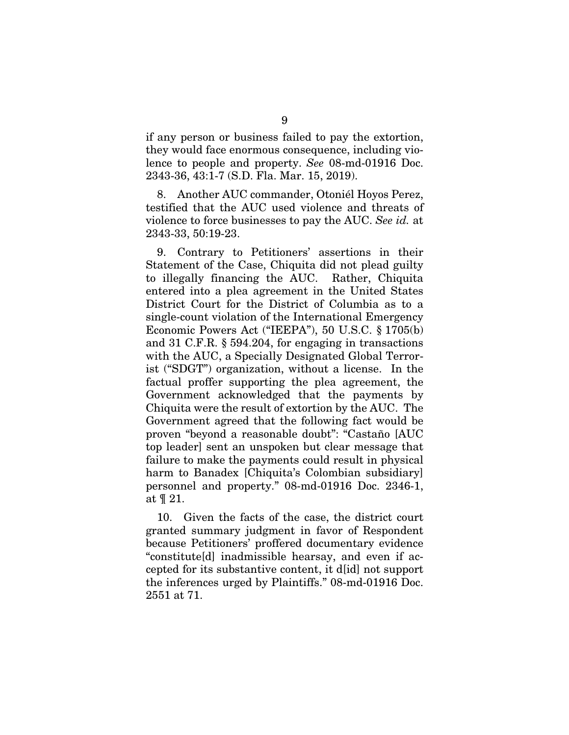if any person or business failed to pay the extortion, they would face enormous consequence, including violence to people and property. *See* 08-md-01916 Doc. 2343-36, 43:1-7 (S.D. Fla. Mar. 15, 2019).

8. Another AUC commander, Otoniél Hoyos Perez, testified that the AUC used violence and threats of violence to force businesses to pay the AUC. *See id.* at 2343-33, 50:19-23.

9. Contrary to Petitioners' assertions in their Statement of the Case, Chiquita did not plead guilty to illegally financing the AUC. Rather, Chiquita entered into a plea agreement in the United States District Court for the District of Columbia as to a single-count violation of the International Emergency Economic Powers Act ("IEEPA"), 50 U.S.C. § 1705(b) and 31 C.F.R. § 594.204, for engaging in transactions with the AUC, a Specially Designated Global Terrorist ("SDGT") organization, without a license. In the factual proffer supporting the plea agreement, the Government acknowledged that the payments by Chiquita were the result of extortion by the AUC. The Government agreed that the following fact would be proven "beyond a reasonable doubt": "Castaño [AUC top leader] sent an unspoken but clear message that failure to make the payments could result in physical harm to Banadex [Chiquita's Colombian subsidiary] personnel and property." 08-md-01916 Doc. 2346-1, at ¶ 21.

10. Given the facts of the case, the district court granted summary judgment in favor of Respondent because Petitioners' proffered documentary evidence "constitute[d] inadmissible hearsay, and even if accepted for its substantive content, it d[id] not support the inferences urged by Plaintiffs." 08-md-01916 Doc. 2551 at 71.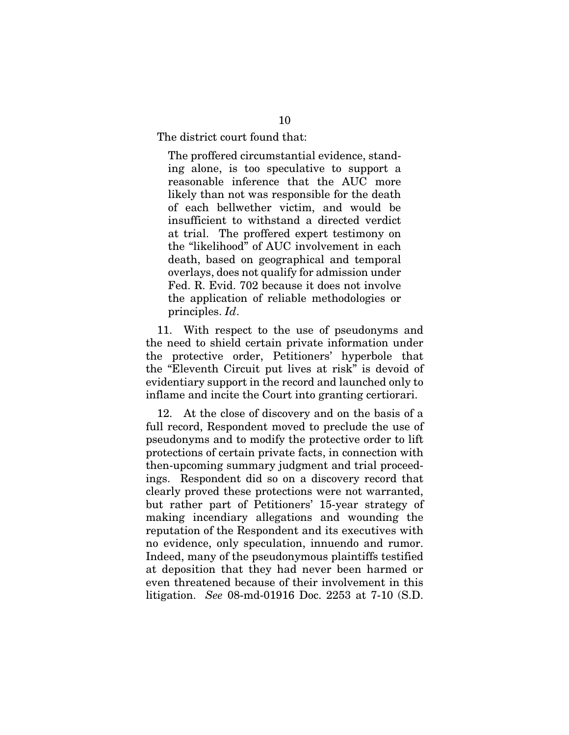The district court found that:

The proffered circumstantial evidence, standing alone, is too speculative to support a reasonable inference that the AUC more likely than not was responsible for the death of each bellwether victim, and would be insufficient to withstand a directed verdict at trial. The proffered expert testimony on the "likelihood" of AUC involvement in each death, based on geographical and temporal overlays, does not qualify for admission under Fed. R. Evid. 702 because it does not involve the application of reliable methodologies or principles. *Id*.

11. With respect to the use of pseudonyms and the need to shield certain private information under the protective order, Petitioners' hyperbole that the "Eleventh Circuit put lives at risk" is devoid of evidentiary support in the record and launched only to inflame and incite the Court into granting certiorari.

12. At the close of discovery and on the basis of a full record, Respondent moved to preclude the use of pseudonyms and to modify the protective order to lift protections of certain private facts, in connection with then-upcoming summary judgment and trial proceedings. Respondent did so on a discovery record that clearly proved these protections were not warranted, but rather part of Petitioners' 15-year strategy of making incendiary allegations and wounding the reputation of the Respondent and its executives with no evidence, only speculation, innuendo and rumor. Indeed, many of the pseudonymous plaintiffs testified at deposition that they had never been harmed or even threatened because of their involvement in this litigation. *See* 08-md-01916 Doc. 2253 at 7-10 (S.D.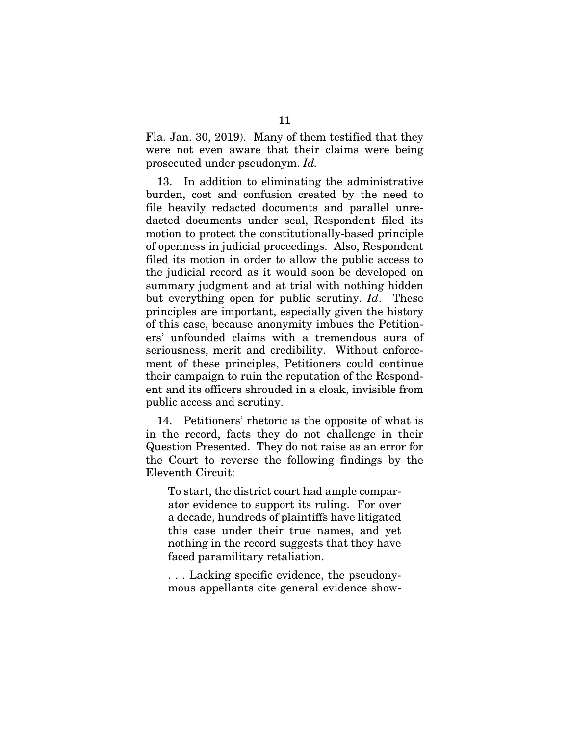Fla. Jan. 30, 2019). Many of them testified that they were not even aware that their claims were being prosecuted under pseudonym. *Id.* 

13. In addition to eliminating the administrative burden, cost and confusion created by the need to file heavily redacted documents and parallel unredacted documents under seal, Respondent filed its motion to protect the constitutionally-based principle of openness in judicial proceedings. Also, Respondent filed its motion in order to allow the public access to the judicial record as it would soon be developed on summary judgment and at trial with nothing hidden but everything open for public scrutiny. *Id*. These principles are important, especially given the history of this case, because anonymity imbues the Petitioners' unfounded claims with a tremendous aura of seriousness, merit and credibility. Without enforcement of these principles, Petitioners could continue their campaign to ruin the reputation of the Respondent and its officers shrouded in a cloak, invisible from public access and scrutiny.

14. Petitioners' rhetoric is the opposite of what is in the record, facts they do not challenge in their Question Presented. They do not raise as an error for the Court to reverse the following findings by the Eleventh Circuit:

To start, the district court had ample comparator evidence to support its ruling. For over a decade, hundreds of plaintiffs have litigated this case under their true names, and yet nothing in the record suggests that they have faced paramilitary retaliation.

. . . Lacking specific evidence, the pseudonymous appellants cite general evidence show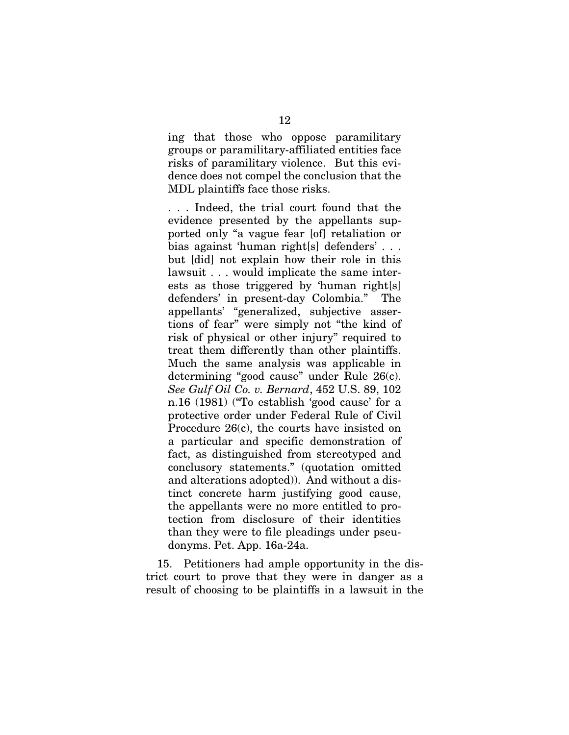ing that those who oppose paramilitary groups or paramilitary-affiliated entities face risks of paramilitary violence. But this evidence does not compel the conclusion that the MDL plaintiffs face those risks.

. . . Indeed, the trial court found that the evidence presented by the appellants supported only "a vague fear [of] retaliation or bias against 'human right[s] defenders' . . . but [did] not explain how their role in this lawsuit . . . would implicate the same interests as those triggered by 'human right[s] defenders' in present-day Colombia." The appellants' "generalized, subjective assertions of fear" were simply not "the kind of risk of physical or other injury" required to treat them differently than other plaintiffs. Much the same analysis was applicable in determining "good cause" under Rule 26(c). *See Gulf Oil Co. v. Bernard*, 452 U.S. 89, 102 n.16 (1981) ("To establish 'good cause' for a protective order under Federal Rule of Civil Procedure 26(c), the courts have insisted on a particular and specific demonstration of fact, as distinguished from stereotyped and conclusory statements." (quotation omitted and alterations adopted)). And without a distinct concrete harm justifying good cause, the appellants were no more entitled to protection from disclosure of their identities than they were to file pleadings under pseudonyms. Pet. App. 16a-24a.

15. Petitioners had ample opportunity in the district court to prove that they were in danger as a result of choosing to be plaintiffs in a lawsuit in the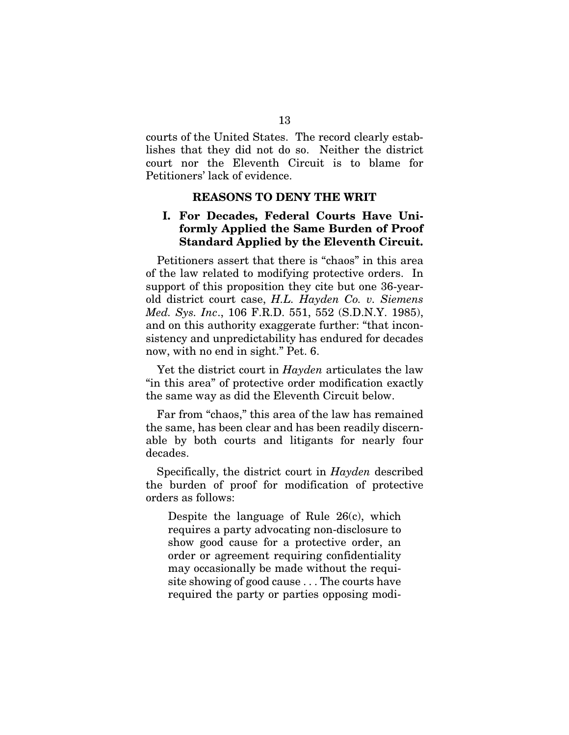courts of the United States. The record clearly establishes that they did not do so. Neither the district court nor the Eleventh Circuit is to blame for Petitioners' lack of evidence.

### REASONS TO DENY THE WRIT

## I. For Decades, Federal Courts Have Uniformly Applied the Same Burden of Proof Standard Applied by the Eleventh Circuit.

Petitioners assert that there is "chaos" in this area of the law related to modifying protective orders. In support of this proposition they cite but one 36-yearold district court case, *H.L. Hayden Co. v. Siemens Med. Sys. Inc*., 106 F.R.D. 551, 552 (S.D.N.Y. 1985), and on this authority exaggerate further: "that inconsistency and unpredictability has endured for decades now, with no end in sight." Pet. 6.

Yet the district court in *Hayden* articulates the law "in this area" of protective order modification exactly the same way as did the Eleventh Circuit below.

Far from "chaos," this area of the law has remained the same, has been clear and has been readily discernable by both courts and litigants for nearly four decades.

Specifically, the district court in *Hayden* described the burden of proof for modification of protective orders as follows:

Despite the language of Rule 26(c), which requires a party advocating non-disclosure to show good cause for a protective order, an order or agreement requiring confidentiality may occasionally be made without the requisite showing of good cause . . . The courts have required the party or parties opposing modi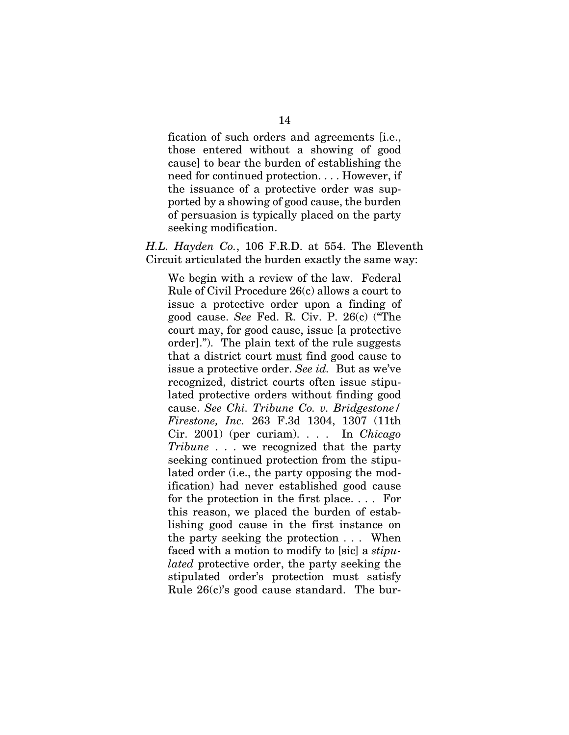fication of such orders and agreements [i.e., those entered without a showing of good cause] to bear the burden of establishing the need for continued protection. . . . However, if the issuance of a protective order was supported by a showing of good cause, the burden of persuasion is typically placed on the party seeking modification.

*H.L. Hayden Co.*, 106 F.R.D. at 554. The Eleventh Circuit articulated the burden exactly the same way:

We begin with a review of the law. Federal Rule of Civil Procedure 26(c) allows a court to issue a protective order upon a finding of good cause. *See* Fed. R. Civ. P. 26(c) ("The court may, for good cause, issue [a protective order]."). The plain text of the rule suggests that a district court must find good cause to issue a protective order. *See id.* But as we've recognized, district courts often issue stipulated protective orders without finding good cause. *See Chi. Tribune Co. v. Bridgestone/ Firestone, Inc.* 263 F.3d 1304, 1307 (11th Cir. 2001) (per curiam). . . . In *Chicago Tribune* . . . we recognized that the party seeking continued protection from the stipulated order (i.e., the party opposing the modification) had never established good cause for the protection in the first place. . . . For this reason, we placed the burden of establishing good cause in the first instance on the party seeking the protection . . . When faced with a motion to modify to [sic] a *stipulated* protective order, the party seeking the stipulated order's protection must satisfy Rule 26(c)'s good cause standard. The bur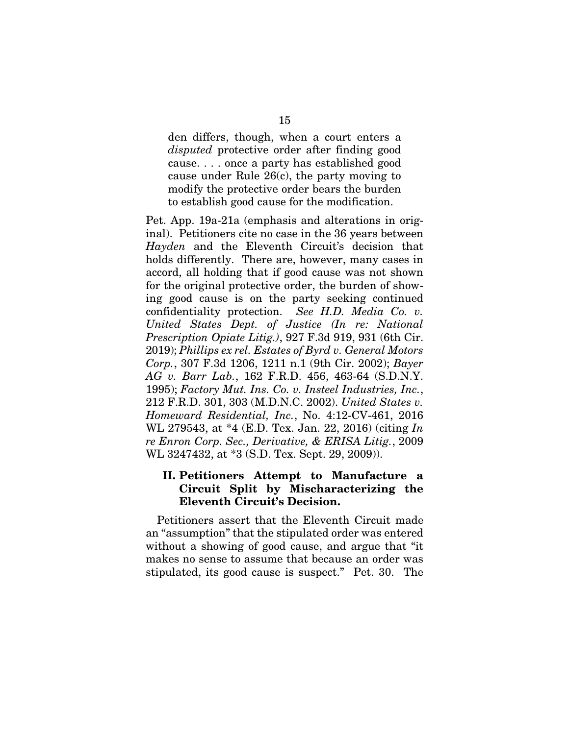den differs, though, when a court enters a *disputed* protective order after finding good cause. . . . once a party has established good cause under Rule 26(c), the party moving to modify the protective order bears the burden to establish good cause for the modification.

Pet. App. 19a-21a (emphasis and alterations in original). Petitioners cite no case in the 36 years between *Hayden* and the Eleventh Circuit's decision that holds differently. There are, however, many cases in accord, all holding that if good cause was not shown for the original protective order, the burden of showing good cause is on the party seeking continued confidentiality protection. *See H.D. Media Co. v. United States Dept. of Justice (In re: National Prescription Opiate Litig.)*, 927 F.3d 919, 931 (6th Cir. 2019); *Phillips ex rel. Estates of Byrd v. General Motors Corp.*, 307 F.3d 1206, 1211 n.1 (9th Cir. 2002); *Bayer AG v. Barr Lab.*, 162 F.R.D. 456, 463-64 (S.D.N.Y. 1995); *Factory Mut. Ins. Co. v. Insteel Industries, Inc.*, 212 F.R.D. 301, 303 (M.D.N.C. 2002). *United States v. Homeward Residential, Inc.*, No. 4:12-CV-461, 2016 WL 279543, at \*4 (E.D. Tex. Jan. 22, 2016) (citing *In re Enron Corp. Sec., Derivative, & ERISA Litig.*, 2009 WL 3247432, at \*3 (S.D. Tex. Sept. 29, 2009)).

## II. Petitioners Attempt to Manufacture a Circuit Split by Mischaracterizing the Eleventh Circuit's Decision.

Petitioners assert that the Eleventh Circuit made an "assumption" that the stipulated order was entered without a showing of good cause, and argue that "it makes no sense to assume that because an order was stipulated, its good cause is suspect." Pet. 30. The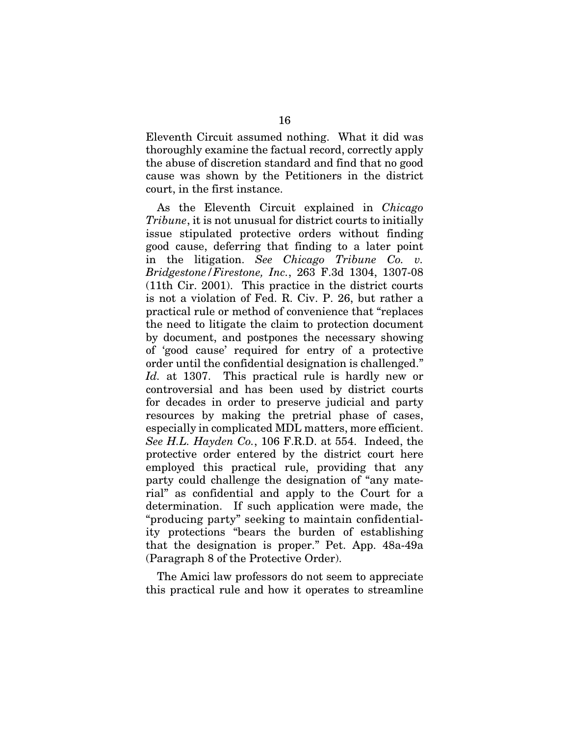Eleventh Circuit assumed nothing. What it did was thoroughly examine the factual record, correctly apply the abuse of discretion standard and find that no good cause was shown by the Petitioners in the district court, in the first instance.

As the Eleventh Circuit explained in *Chicago Tribune*, it is not unusual for district courts to initially issue stipulated protective orders without finding good cause, deferring that finding to a later point in the litigation. *See Chicago Tribune Co. v. Bridgestone/Firestone, Inc.*, 263 F.3d 1304, 1307-08 (11th Cir. 2001). This practice in the district courts is not a violation of Fed. R. Civ. P. 26, but rather a practical rule or method of convenience that "replaces the need to litigate the claim to protection document by document, and postpones the necessary showing of 'good cause' required for entry of a protective order until the confidential designation is challenged." *Id.* at 1307. This practical rule is hardly new or controversial and has been used by district courts for decades in order to preserve judicial and party resources by making the pretrial phase of cases, especially in complicated MDL matters, more efficient. *See H.L. Hayden Co.*, 106 F.R.D. at 554. Indeed, the protective order entered by the district court here employed this practical rule, providing that any party could challenge the designation of "any material" as confidential and apply to the Court for a determination. If such application were made, the "producing party" seeking to maintain confidentiality protections "bears the burden of establishing that the designation is proper." Pet. App. 48a-49a (Paragraph 8 of the Protective Order).

The Amici law professors do not seem to appreciate this practical rule and how it operates to streamline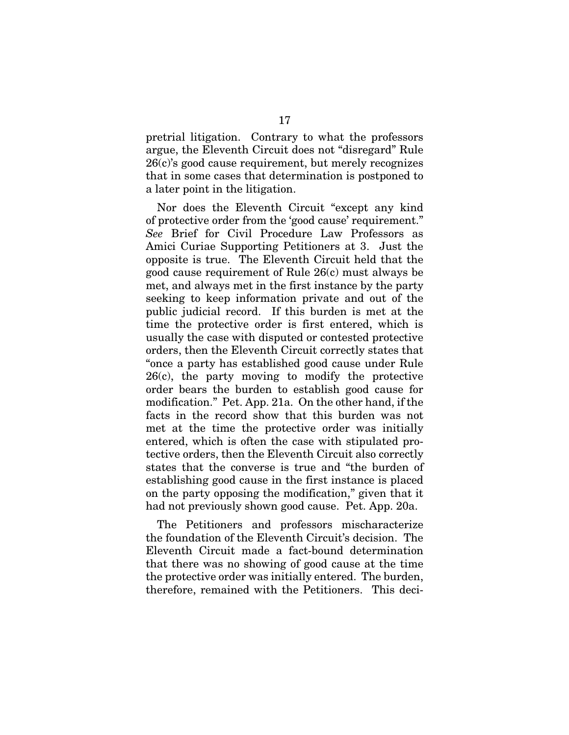pretrial litigation. Contrary to what the professors argue, the Eleventh Circuit does not "disregard" Rule 26(c)'s good cause requirement, but merely recognizes that in some cases that determination is postponed to a later point in the litigation.

Nor does the Eleventh Circuit "except any kind of protective order from the 'good cause' requirement." *See* Brief for Civil Procedure Law Professors as Amici Curiae Supporting Petitioners at 3. Just the opposite is true. The Eleventh Circuit held that the good cause requirement of Rule 26(c) must always be met, and always met in the first instance by the party seeking to keep information private and out of the public judicial record. If this burden is met at the time the protective order is first entered, which is usually the case with disputed or contested protective orders, then the Eleventh Circuit correctly states that "once a party has established good cause under Rule 26(c), the party moving to modify the protective order bears the burden to establish good cause for modification." Pet. App. 21a. On the other hand, if the facts in the record show that this burden was not met at the time the protective order was initially entered, which is often the case with stipulated protective orders, then the Eleventh Circuit also correctly states that the converse is true and "the burden of establishing good cause in the first instance is placed on the party opposing the modification," given that it had not previously shown good cause. Pet. App. 20a.

The Petitioners and professors mischaracterize the foundation of the Eleventh Circuit's decision. The Eleventh Circuit made a fact-bound determination that there was no showing of good cause at the time the protective order was initially entered. The burden, therefore, remained with the Petitioners. This deci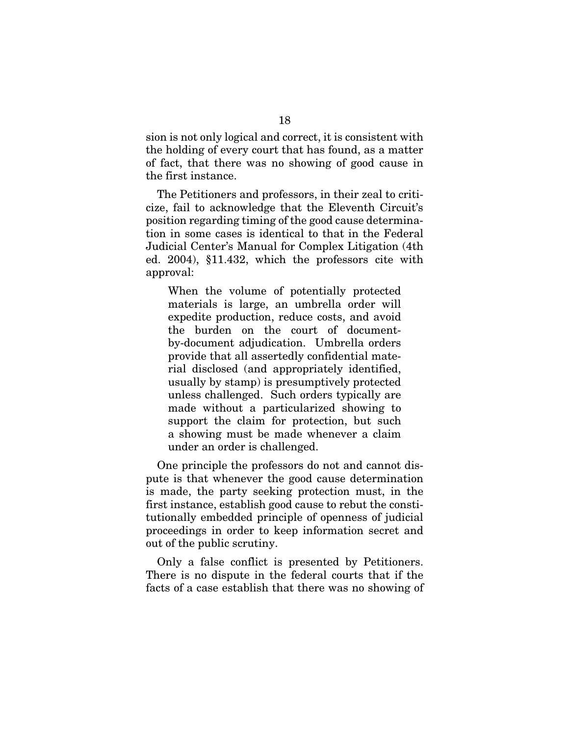sion is not only logical and correct, it is consistent with the holding of every court that has found, as a matter of fact, that there was no showing of good cause in the first instance.

The Petitioners and professors, in their zeal to criticize, fail to acknowledge that the Eleventh Circuit's position regarding timing of the good cause determination in some cases is identical to that in the Federal Judicial Center's Manual for Complex Litigation (4th ed. 2004), §11.432, which the professors cite with approval:

When the volume of potentially protected materials is large, an umbrella order will expedite production, reduce costs, and avoid the burden on the court of documentby-document adjudication. Umbrella orders provide that all assertedly confidential material disclosed (and appropriately identified, usually by stamp) is presumptively protected unless challenged. Such orders typically are made without a particularized showing to support the claim for protection, but such a showing must be made whenever a claim under an order is challenged.

One principle the professors do not and cannot dispute is that whenever the good cause determination is made, the party seeking protection must, in the first instance, establish good cause to rebut the constitutionally embedded principle of openness of judicial proceedings in order to keep information secret and out of the public scrutiny.

Only a false conflict is presented by Petitioners. There is no dispute in the federal courts that if the facts of a case establish that there was no showing of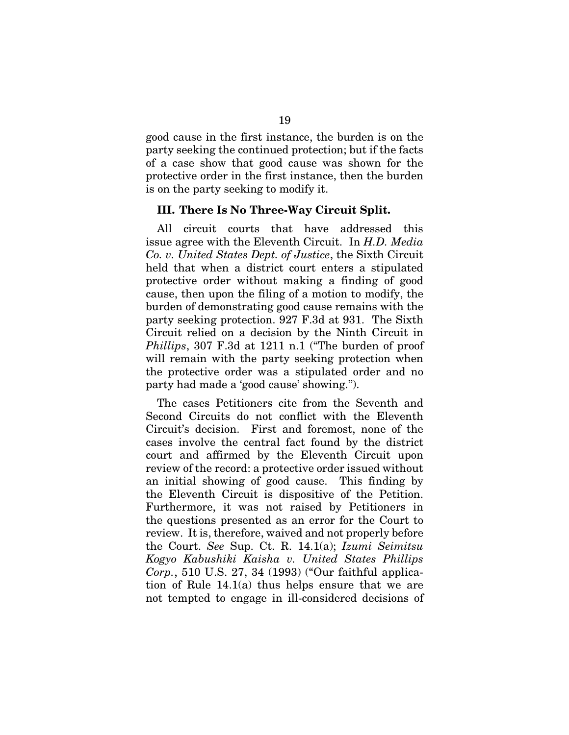good cause in the first instance, the burden is on the party seeking the continued protection; but if the facts of a case show that good cause was shown for the protective order in the first instance, then the burden is on the party seeking to modify it.

### III. There Is No Three-Way Circuit Split.

All circuit courts that have addressed this issue agree with the Eleventh Circuit. In *H.D. Media Co. v. United States Dept. of Justice*, the Sixth Circuit held that when a district court enters a stipulated protective order without making a finding of good cause, then upon the filing of a motion to modify, the burden of demonstrating good cause remains with the party seeking protection. 927 F.3d at 931. The Sixth Circuit relied on a decision by the Ninth Circuit in *Phillips*, 307 F.3d at 1211 n.1 ("The burden of proof will remain with the party seeking protection when the protective order was a stipulated order and no party had made a 'good cause' showing.").

The cases Petitioners cite from the Seventh and Second Circuits do not conflict with the Eleventh Circuit's decision. First and foremost, none of the cases involve the central fact found by the district court and affirmed by the Eleventh Circuit upon review of the record: a protective order issued without an initial showing of good cause. This finding by the Eleventh Circuit is dispositive of the Petition. Furthermore, it was not raised by Petitioners in the questions presented as an error for the Court to review. It is, therefore, waived and not properly before the Court. *See* Sup. Ct. R. 14.1(a); *Izumi Seimitsu Kogyo Kabushiki Kaisha v. United States Phillips Corp.*, 510 U.S. 27, 34 (1993) ("Our faithful application of Rule 14.1(a) thus helps ensure that we are not tempted to engage in ill-considered decisions of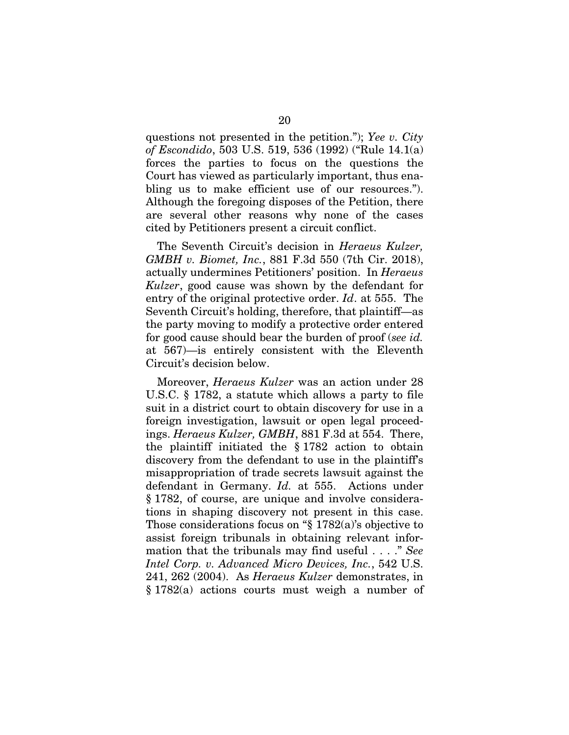questions not presented in the petition."); *Yee v. City of Escondido*, 503 U.S. 519, 536 (1992) ("Rule 14.1(a) forces the parties to focus on the questions the Court has viewed as particularly important, thus enabling us to make efficient use of our resources."). Although the foregoing disposes of the Petition, there are several other reasons why none of the cases cited by Petitioners present a circuit conflict.

The Seventh Circuit's decision in *Heraeus Kulzer, GMBH v. Biomet, Inc.*, 881 F.3d 550 (7th Cir. 2018), actually undermines Petitioners' position. In *Heraeus Kulzer*, good cause was shown by the defendant for entry of the original protective order. *Id*. at 555. The Seventh Circuit's holding, therefore, that plaintiff—as the party moving to modify a protective order entered for good cause should bear the burden of proof (*see id.*  at 567)—is entirely consistent with the Eleventh Circuit's decision below.

Moreover, *Heraeus Kulzer* was an action under 28 U.S.C. § 1782, a statute which allows a party to file suit in a district court to obtain discovery for use in a foreign investigation, lawsuit or open legal proceedings. *Heraeus Kulzer, GMBH*, 881 F.3d at 554. There, the plaintiff initiated the § 1782 action to obtain discovery from the defendant to use in the plaintiff's misappropriation of trade secrets lawsuit against the defendant in Germany. *Id.* at 555. Actions under § 1782, of course, are unique and involve considerations in shaping discovery not present in this case. Those considerations focus on "§ 1782(a)'s objective to assist foreign tribunals in obtaining relevant information that the tribunals may find useful . . . ." *See Intel Corp. v. Advanced Micro Devices, Inc.*, 542 U.S. 241, 262 (2004). As *Heraeus Kulzer* demonstrates, in § 1782(a) actions courts must weigh a number of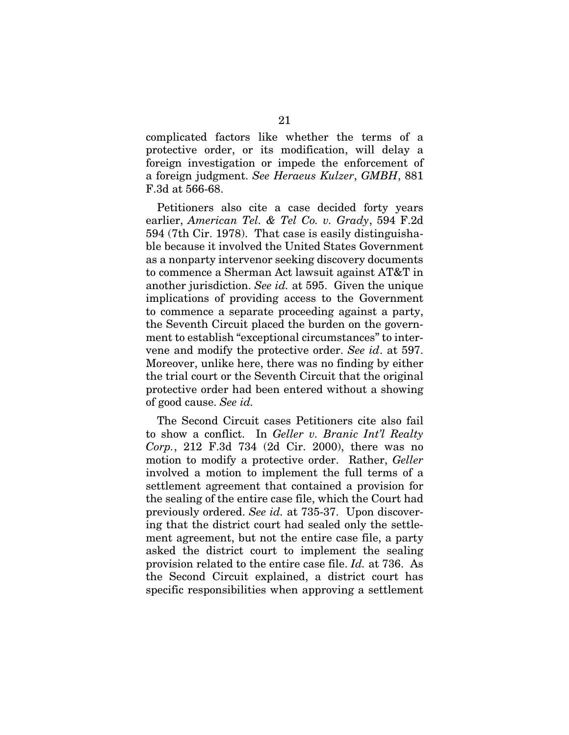complicated factors like whether the terms of a protective order, or its modification, will delay a foreign investigation or impede the enforcement of a foreign judgment. *See Heraeus Kulzer*, *GMBH*, 881 F.3d at 566-68.

Petitioners also cite a case decided forty years earlier, *American Tel. & Tel Co. v. Grady*, 594 F.2d 594 (7th Cir. 1978). That case is easily distinguishable because it involved the United States Government as a nonparty intervenor seeking discovery documents to commence a Sherman Act lawsuit against AT&T in another jurisdiction. *See id.* at 595. Given the unique implications of providing access to the Government to commence a separate proceeding against a party, the Seventh Circuit placed the burden on the government to establish "exceptional circumstances" to intervene and modify the protective order. *See id*. at 597. Moreover, unlike here, there was no finding by either the trial court or the Seventh Circuit that the original protective order had been entered without a showing of good cause. *See id.* 

The Second Circuit cases Petitioners cite also fail to show a conflict. In *Geller v. Branic Int'l Realty Corp.*, 212 F.3d 734 (2d Cir. 2000), there was no motion to modify a protective order. Rather, *Geller* involved a motion to implement the full terms of a settlement agreement that contained a provision for the sealing of the entire case file, which the Court had previously ordered. *See id.* at 735-37. Upon discovering that the district court had sealed only the settlement agreement, but not the entire case file, a party asked the district court to implement the sealing provision related to the entire case file. *Id.* at 736. As the Second Circuit explained, a district court has specific responsibilities when approving a settlement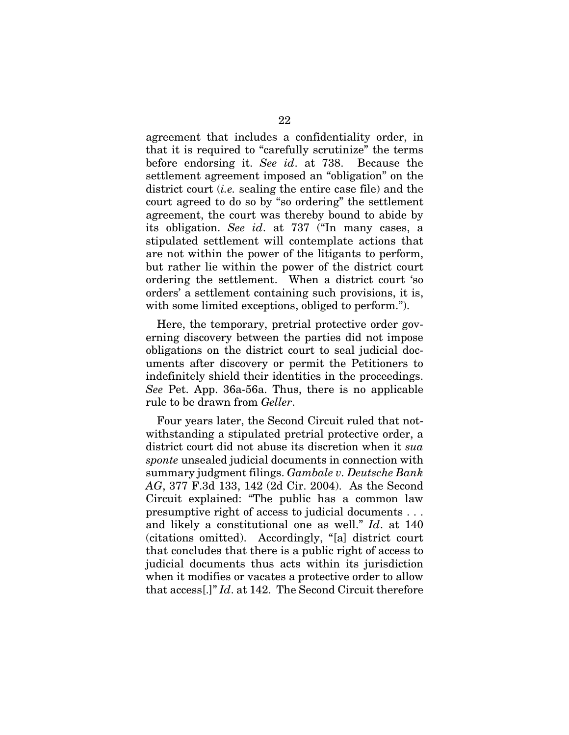agreement that includes a confidentiality order, in that it is required to "carefully scrutinize" the terms before endorsing it. *See id*. at 738. Because the settlement agreement imposed an "obligation" on the district court (*i.e.* sealing the entire case file) and the court agreed to do so by "so ordering" the settlement agreement, the court was thereby bound to abide by its obligation. *See id*. at 737 ("In many cases, a stipulated settlement will contemplate actions that are not within the power of the litigants to perform, but rather lie within the power of the district court ordering the settlement. When a district court 'so orders' a settlement containing such provisions, it is, with some limited exceptions, obliged to perform.").

Here, the temporary, pretrial protective order governing discovery between the parties did not impose obligations on the district court to seal judicial documents after discovery or permit the Petitioners to indefinitely shield their identities in the proceedings. *See* Pet. App. 36a-56a. Thus, there is no applicable rule to be drawn from *Geller*.

Four years later, the Second Circuit ruled that notwithstanding a stipulated pretrial protective order, a district court did not abuse its discretion when it *sua sponte* unsealed judicial documents in connection with summary judgment filings. *Gambale v. Deutsche Bank AG*, 377 F.3d 133, 142 (2d Cir. 2004). As the Second Circuit explained: "The public has a common law presumptive right of access to judicial documents . . . and likely a constitutional one as well." *Id*. at 140 (citations omitted). Accordingly, "[a] district court that concludes that there is a public right of access to judicial documents thus acts within its jurisdiction when it modifies or vacates a protective order to allow that access[.]" *Id*. at 142. The Second Circuit therefore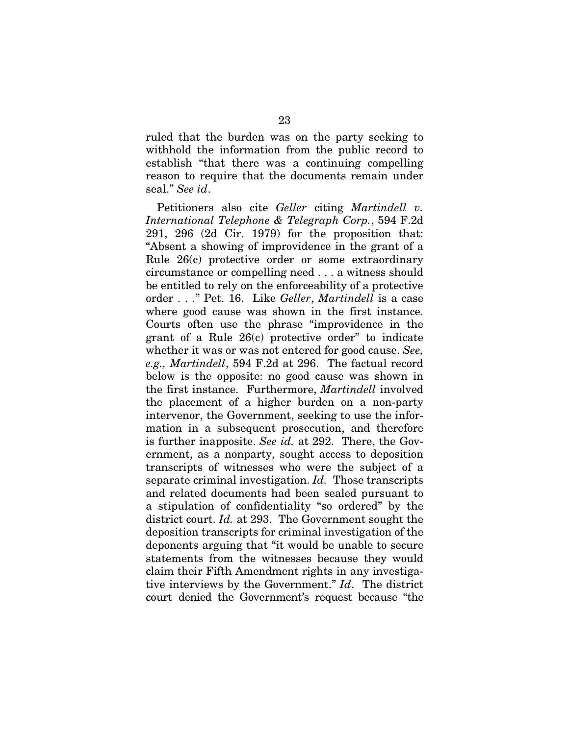ruled that the burden was on the party seeking to withhold the information from the public record to establish "that there was a continuing compelling reason to require that the documents remain under seal." *See id*.

Petitioners also cite *Geller* citing *Martindell v. International Telephone & Telegraph Corp.*, 594 F.2d 291, 296 (2d Cir. 1979) for the proposition that: "Absent a showing of improvidence in the grant of a Rule 26(c) protective order or some extraordinary circumstance or compelling need . . . a witness should be entitled to rely on the enforceability of a protective order . . ." Pet. 16. Like *Geller*, *Martindell* is a case where good cause was shown in the first instance. Courts often use the phrase "improvidence in the grant of a Rule 26(c) protective order" to indicate whether it was or was not entered for good cause. *See, e.g., Martindell*, 594 F.2d at 296. The factual record below is the opposite: no good cause was shown in the first instance. Furthermore, *Martindell* involved the placement of a higher burden on a non-party intervenor, the Government, seeking to use the information in a subsequent prosecution, and therefore is further inapposite. *See id.* at 292. There, the Government, as a nonparty, sought access to deposition transcripts of witnesses who were the subject of a separate criminal investigation. *Id.* Those transcripts and related documents had been sealed pursuant to a stipulation of confidentiality "so ordered" by the district court. *Id.* at 293. The Government sought the deposition transcripts for criminal investigation of the deponents arguing that "it would be unable to secure statements from the witnesses because they would claim their Fifth Amendment rights in any investigative interviews by the Government." *Id*. The district court denied the Government's request because "the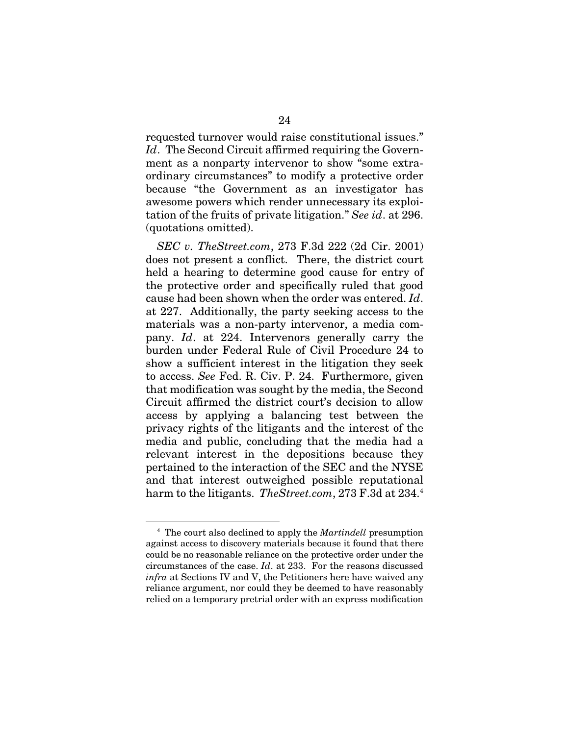requested turnover would raise constitutional issues." *Id*. The Second Circuit affirmed requiring the Government as a nonparty intervenor to show "some extraordinary circumstances" to modify a protective order because "the Government as an investigator has awesome powers which render unnecessary its exploitation of the fruits of private litigation." *See id*. at 296. (quotations omitted).

*SEC v. TheStreet.com*, 273 F.3d 222 (2d Cir. 2001) does not present a conflict. There, the district court held a hearing to determine good cause for entry of the protective order and specifically ruled that good cause had been shown when the order was entered. *Id*. at 227. Additionally, the party seeking access to the materials was a non-party intervenor, a media company. *Id*. at 224. Intervenors generally carry the burden under Federal Rule of Civil Procedure 24 to show a sufficient interest in the litigation they seek to access. *See* Fed. R. Civ. P. 24. Furthermore, given that modification was sought by the media, the Second Circuit affirmed the district court's decision to allow access by applying a balancing test between the privacy rights of the litigants and the interest of the media and public, concluding that the media had a relevant interest in the depositions because they pertained to the interaction of the SEC and the NYSE and that interest outweighed possible reputational harm to the litigants. *TheStreet.com*, 273 F.3d at 234.4

<sup>4</sup> The court also declined to apply the *Martindell* presumption against access to discovery materials because it found that there could be no reasonable reliance on the protective order under the circumstances of the case. *Id*. at 233. For the reasons discussed *infra* at Sections IV and V, the Petitioners here have waived any reliance argument, nor could they be deemed to have reasonably relied on a temporary pretrial order with an express modification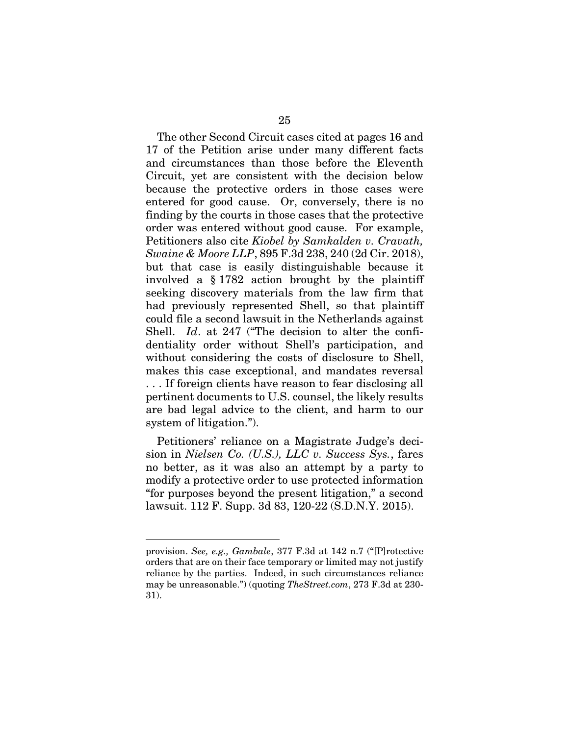The other Second Circuit cases cited at pages 16 and 17 of the Petition arise under many different facts and circumstances than those before the Eleventh Circuit, yet are consistent with the decision below because the protective orders in those cases were entered for good cause. Or, conversely, there is no finding by the courts in those cases that the protective order was entered without good cause. For example, Petitioners also cite *Kiobel by Samkalden v. Cravath, Swaine & Moore LLP*, 895 F.3d 238, 240 (2d Cir. 2018), but that case is easily distinguishable because it involved a § 1782 action brought by the plaintiff seeking discovery materials from the law firm that had previously represented Shell, so that plaintiff could file a second lawsuit in the Netherlands against Shell. *Id*. at 247 ("The decision to alter the confidentiality order without Shell's participation, and without considering the costs of disclosure to Shell, makes this case exceptional, and mandates reversal . . . If foreign clients have reason to fear disclosing all pertinent documents to U.S. counsel, the likely results are bad legal advice to the client, and harm to our system of litigation.").

Petitioners' reliance on a Magistrate Judge's decision in *Nielsen Co. (U.S.), LLC v. Success Sys.*, fares no better, as it was also an attempt by a party to modify a protective order to use protected information "for purposes beyond the present litigation," a second lawsuit. 112 F. Supp. 3d 83, 120-22 (S.D.N.Y. 2015).

provision. *See, e.g., Gambale*, 377 F.3d at 142 n.7 ("[P]rotective orders that are on their face temporary or limited may not justify reliance by the parties. Indeed, in such circumstances reliance may be unreasonable.") (quoting *TheStreet.com*, 273 F.3d at 230- 31).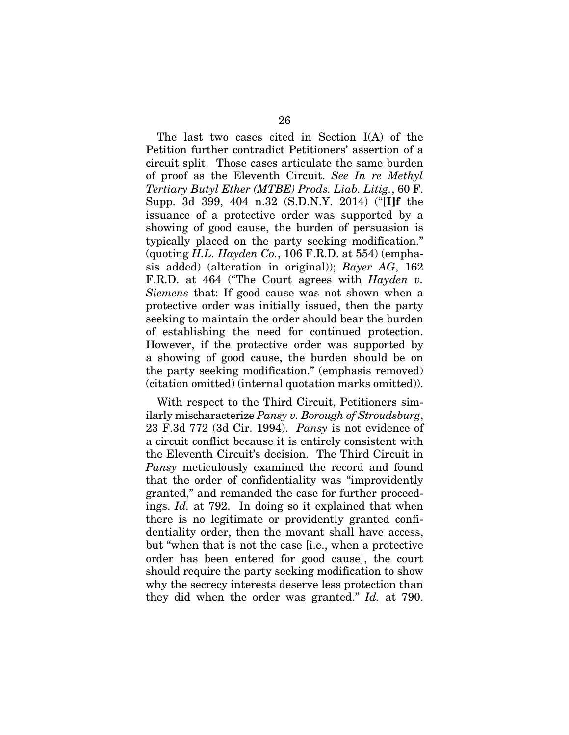The last two cases cited in Section I(A) of the Petition further contradict Petitioners' assertion of a circuit split. Those cases articulate the same burden of proof as the Eleventh Circuit. *See In re Methyl Tertiary Butyl Ether (MTBE) Prods. Liab. Litig.*, 60 F. Supp. 3d 399, 404 n.32 (S.D.N.Y. 2014) ("[I]f the issuance of a protective order was supported by a showing of good cause, the burden of persuasion is typically placed on the party seeking modification." (quoting *H.L. Hayden Co.*, 106 F.R.D. at 554) (emphasis added) (alteration in original)); *Bayer AG*, 162 F.R.D. at 464 ("The Court agrees with *Hayden v. Siemens* that: If good cause was not shown when a protective order was initially issued, then the party seeking to maintain the order should bear the burden of establishing the need for continued protection. However, if the protective order was supported by a showing of good cause, the burden should be on the party seeking modification." (emphasis removed) (citation omitted) (internal quotation marks omitted)).

With respect to the Third Circuit, Petitioners similarly mischaracterize *Pansy v. Borough of Stroudsburg*, 23 F.3d 772 (3d Cir. 1994). *Pansy* is not evidence of a circuit conflict because it is entirely consistent with the Eleventh Circuit's decision. The Third Circuit in *Pansy* meticulously examined the record and found that the order of confidentiality was "improvidently granted," and remanded the case for further proceedings. *Id.* at 792. In doing so it explained that when there is no legitimate or providently granted confidentiality order, then the movant shall have access, but "when that is not the case [i.e., when a protective order has been entered for good cause], the court should require the party seeking modification to show why the secrecy interests deserve less protection than they did when the order was granted." *Id.* at 790.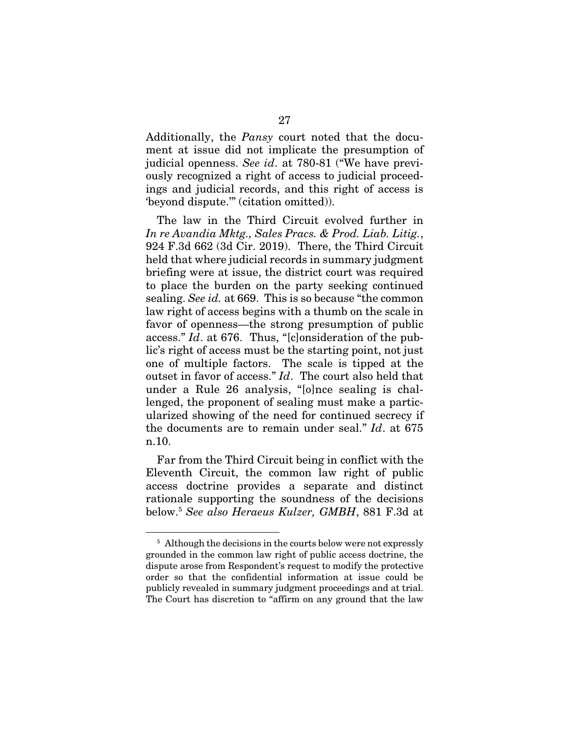Additionally, the *Pansy* court noted that the document at issue did not implicate the presumption of judicial openness. *See id*. at 780-81 ("We have previously recognized a right of access to judicial proceedings and judicial records, and this right of access is 'beyond dispute.'" (citation omitted)).

The law in the Third Circuit evolved further in *In re Avandia Mktg., Sales Pracs. & Prod. Liab. Litig.*, 924 F.3d 662 (3d Cir. 2019). There, the Third Circuit held that where judicial records in summary judgment briefing were at issue, the district court was required to place the burden on the party seeking continued sealing. *See id.* at 669. This is so because "the common law right of access begins with a thumb on the scale in favor of openness—the strong presumption of public access." *Id*. at 676. Thus, "[c]onsideration of the public's right of access must be the starting point, not just one of multiple factors. The scale is tipped at the outset in favor of access." *Id*. The court also held that under a Rule 26 analysis, "[o]nce sealing is challenged, the proponent of sealing must make a particularized showing of the need for continued secrecy if the documents are to remain under seal." *Id*. at 675 n.10.

Far from the Third Circuit being in conflict with the Eleventh Circuit, the common law right of public access doctrine provides a separate and distinct rationale supporting the soundness of the decisions below.5 *See also Heraeus Kulzer, GMBH*, 881 F.3d at

<sup>&</sup>lt;sup>5</sup> Although the decisions in the courts below were not expressly grounded in the common law right of public access doctrine, the dispute arose from Respondent's request to modify the protective order so that the confidential information at issue could be publicly revealed in summary judgment proceedings and at trial. The Court has discretion to "affirm on any ground that the law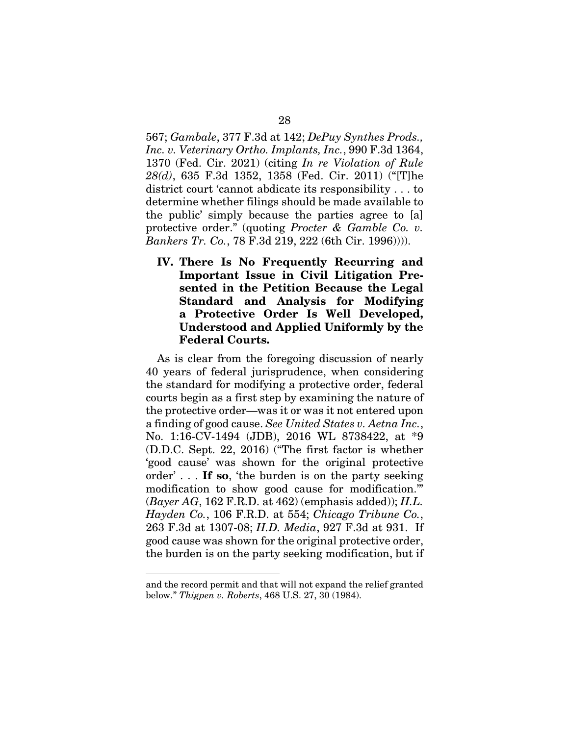567; *Gambale*, 377 F.3d at 142; *DePuy Synthes Prods., Inc. v. Veterinary Ortho. Implants, Inc.*, 990 F.3d 1364, 1370 (Fed. Cir. 2021) (citing *In re Violation of Rule 28(d)*, 635 F.3d 1352, 1358 (Fed. Cir. 2011) ("[T]he district court 'cannot abdicate its responsibility . . . to determine whether filings should be made available to the public' simply because the parties agree to [a] protective order." (quoting *Procter & Gamble Co. v. Bankers Tr. Co.*, 78 F.3d 219, 222 (6th Cir. 1996)))).

IV. There Is No Frequently Recurring and Important Issue in Civil Litigation Presented in the Petition Because the Legal Standard and Analysis for Modifying a Protective Order Is Well Developed, Understood and Applied Uniformly by the Federal Courts.

As is clear from the foregoing discussion of nearly 40 years of federal jurisprudence, when considering the standard for modifying a protective order, federal courts begin as a first step by examining the nature of the protective order—was it or was it not entered upon a finding of good cause. *See United States v. Aetna Inc.*, No. 1:16-CV-1494 (JDB), 2016 WL 8738422, at \*9 (D.D.C. Sept. 22, 2016) ("The first factor is whether 'good cause' was shown for the original protective order'... If so, 'the burden is on the party seeking modification to show good cause for modification.'" (*Bayer AG*, 162 F.R.D. at 462) (emphasis added)); *H.L. Hayden Co.*, 106 F.R.D. at 554; *Chicago Tribune Co.*, 263 F.3d at 1307-08; *H.D. Media*, 927 F.3d at 931. If good cause was shown for the original protective order, the burden is on the party seeking modification, but if

and the record permit and that will not expand the relief granted below." *Thigpen v. Roberts*, 468 U.S. 27, 30 (1984).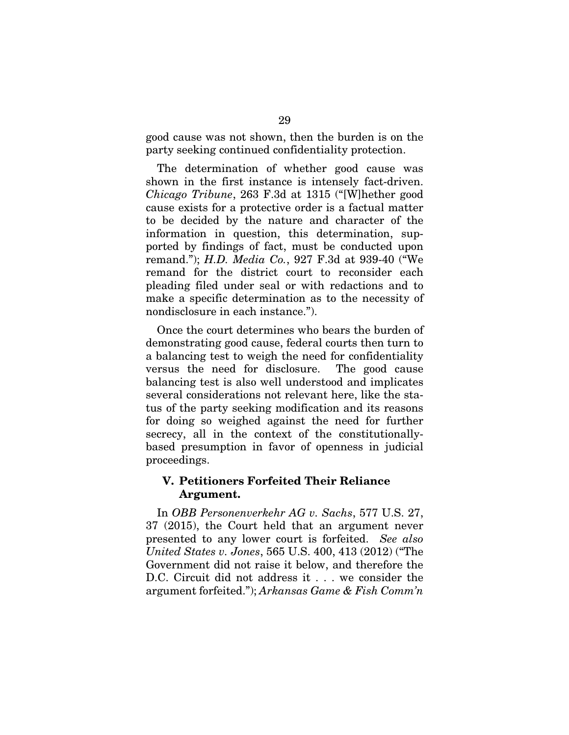good cause was not shown, then the burden is on the party seeking continued confidentiality protection.

The determination of whether good cause was shown in the first instance is intensely fact-driven. *Chicago Tribune*, 263 F.3d at 1315 ("[W]hether good cause exists for a protective order is a factual matter to be decided by the nature and character of the information in question, this determination, supported by findings of fact, must be conducted upon remand."); *H.D. Media Co.*, 927 F.3d at 939-40 ("We remand for the district court to reconsider each pleading filed under seal or with redactions and to make a specific determination as to the necessity of nondisclosure in each instance.").

Once the court determines who bears the burden of demonstrating good cause, federal courts then turn to a balancing test to weigh the need for confidentiality versus the need for disclosure. The good cause balancing test is also well understood and implicates several considerations not relevant here, like the status of the party seeking modification and its reasons for doing so weighed against the need for further secrecy, all in the context of the constitutionallybased presumption in favor of openness in judicial proceedings.

## V. Petitioners Forfeited Their Reliance Argument.

In *OBB Personenverkehr AG v. Sachs*, 577 U.S. 27, 37 (2015), the Court held that an argument never presented to any lower court is forfeited. *See also United States v. Jones*, 565 U.S. 400, 413 (2012) ("The Government did not raise it below, and therefore the D.C. Circuit did not address it . . . we consider the argument forfeited."); *Arkansas Game & Fish Comm'n*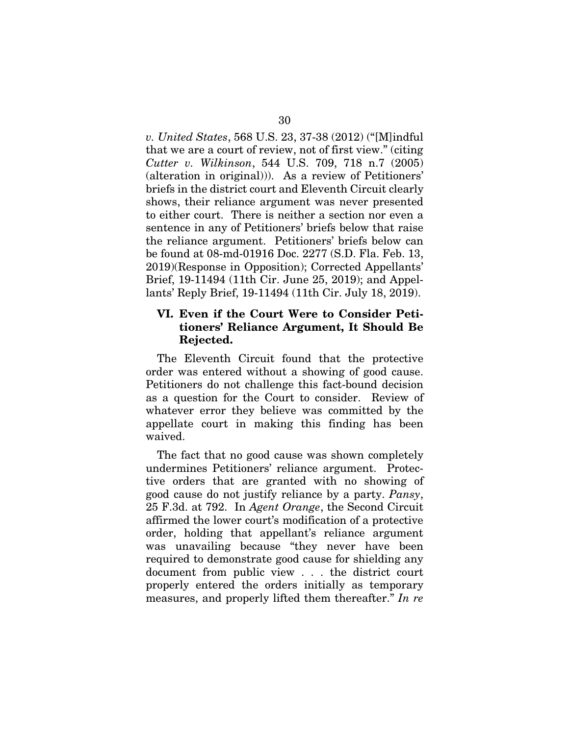*v. United States*, 568 U.S. 23, 37-38 (2012) ("[M]indful that we are a court of review, not of first view." (citing *Cutter v. Wilkinson*, 544 U.S. 709, 718 n.7 (2005) (alteration in original))). As a review of Petitioners' briefs in the district court and Eleventh Circuit clearly shows, their reliance argument was never presented to either court. There is neither a section nor even a sentence in any of Petitioners' briefs below that raise the reliance argument. Petitioners' briefs below can be found at 08-md-01916 Doc. 2277 (S.D. Fla. Feb. 13, 2019)(Response in Opposition); Corrected Appellants' Brief, 19-11494 (11th Cir. June 25, 2019); and Appellants' Reply Brief, 19-11494 (11th Cir. July 18, 2019).

## VI. Even if the Court Were to Consider Petitioners' Reliance Argument, It Should Be Rejected.

The Eleventh Circuit found that the protective order was entered without a showing of good cause. Petitioners do not challenge this fact-bound decision as a question for the Court to consider. Review of whatever error they believe was committed by the appellate court in making this finding has been waived.

The fact that no good cause was shown completely undermines Petitioners' reliance argument. Protective orders that are granted with no showing of good cause do not justify reliance by a party. *Pansy*, 25 F.3d. at 792. In *Agent Orange*, the Second Circuit affirmed the lower court's modification of a protective order, holding that appellant's reliance argument was unavailing because "they never have been required to demonstrate good cause for shielding any document from public view . . . the district court properly entered the orders initially as temporary measures, and properly lifted them thereafter." *In re*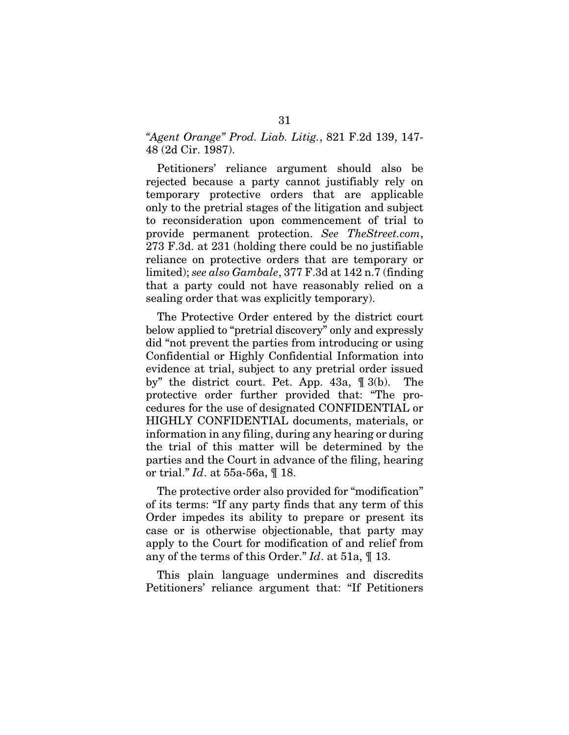## *"Agent Orange" Prod. Liab. Litig.*, 821 F.2d 139, 147- 48 (2d Cir. 1987).

Petitioners' reliance argument should also be rejected because a party cannot justifiably rely on temporary protective orders that are applicable only to the pretrial stages of the litigation and subject to reconsideration upon commencement of trial to provide permanent protection. *See TheStreet.com*, 273 F.3d. at 231 (holding there could be no justifiable reliance on protective orders that are temporary or limited); *see also Gambale*, 377 F.3d at 142 n.7 (finding that a party could not have reasonably relied on a sealing order that was explicitly temporary).

The Protective Order entered by the district court below applied to "pretrial discovery" only and expressly did "not prevent the parties from introducing or using Confidential or Highly Confidential Information into evidence at trial, subject to any pretrial order issued by" the district court. Pet. App. 43a, ¶ 3(b). The protective order further provided that: "The procedures for the use of designated CONFIDENTIAL or HIGHLY CONFIDENTIAL documents, materials, or information in any filing, during any hearing or during the trial of this matter will be determined by the parties and the Court in advance of the filing, hearing or trial." *Id*. at 55a-56a, ¶ 18.

The protective order also provided for "modification" of its terms: "If any party finds that any term of this Order impedes its ability to prepare or present its case or is otherwise objectionable, that party may apply to the Court for modification of and relief from any of the terms of this Order." *Id*. at 51a, ¶ 13.

This plain language undermines and discredits Petitioners' reliance argument that: "If Petitioners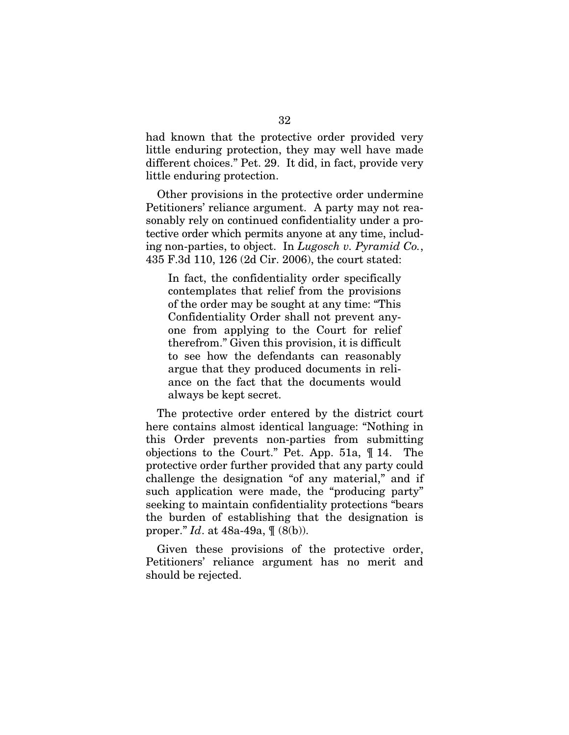had known that the protective order provided very little enduring protection, they may well have made different choices." Pet. 29. It did, in fact, provide very little enduring protection.

Other provisions in the protective order undermine Petitioners' reliance argument. A party may not reasonably rely on continued confidentiality under a protective order which permits anyone at any time, including non-parties, to object. In *Lugosch v. Pyramid Co.*, 435 F.3d 110, 126 (2d Cir. 2006), the court stated:

In fact, the confidentiality order specifically contemplates that relief from the provisions of the order may be sought at any time: "This Confidentiality Order shall not prevent anyone from applying to the Court for relief therefrom." Given this provision, it is difficult to see how the defendants can reasonably argue that they produced documents in reliance on the fact that the documents would always be kept secret.

The protective order entered by the district court here contains almost identical language: "Nothing in this Order prevents non-parties from submitting objections to the Court." Pet. App. 51a, ¶ 14. The protective order further provided that any party could challenge the designation "of any material," and if such application were made, the "producing party" seeking to maintain confidentiality protections "bears the burden of establishing that the designation is proper." *Id*. at 48a-49a, ¶ (8(b)).

Given these provisions of the protective order, Petitioners' reliance argument has no merit and should be rejected.